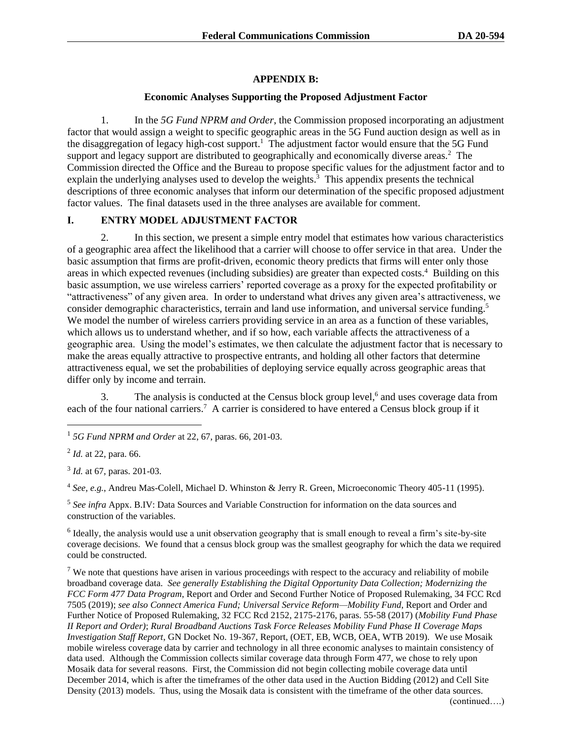#### **APPENDIX B:**

#### **Economic Analyses Supporting the Proposed Adjustment Factor**

1. In the *5G Fund NPRM and Order*, the Commission proposed incorporating an adjustment factor that would assign a weight to specific geographic areas in the 5G Fund auction design as well as in the disaggregation of legacy high-cost support.<sup>1</sup> The adjustment factor would ensure that the 5G Fund support and legacy support are distributed to geographically and economically diverse areas.<sup>2</sup> The Commission directed the Office and the Bureau to propose specific values for the adjustment factor and to explain the underlying analyses used to develop the weights.<sup>3</sup> This appendix presents the technical descriptions of three economic analyses that inform our determination of the specific proposed adjustment factor values. The final datasets used in the three analyses are available for comment.

#### **I. ENTRY MODEL ADJUSTMENT FACTOR**

2. In this section, we present a simple entry model that estimates how various characteristics of a geographic area affect the likelihood that a carrier will choose to offer service in that area. Under the basic assumption that firms are profit-driven, economic theory predicts that firms will enter only those areas in which expected revenues (including subsidies) are greater than expected costs.<sup>4</sup> Building on this basic assumption, we use wireless carriers' reported coverage as a proxy for the expected profitability or "attractiveness" of any given area. In order to understand what drives any given area's attractiveness, we consider demographic characteristics, terrain and land use information, and universal service funding.<sup>5</sup> We model the number of wireless carriers providing service in an area as a function of these variables, which allows us to understand whether, and if so how, each variable affects the attractiveness of a geographic area. Using the model's estimates, we then calculate the adjustment factor that is necessary to make the areas equally attractive to prospective entrants, and holding all other factors that determine attractiveness equal, we set the probabilities of deploying service equally across geographic areas that differ only by income and terrain.

3. The analysis is conducted at the Census block group level, $6$  and uses coverage data from each of the four national carriers.<sup>7</sup> A carrier is considered to have entered a Census block group if it

<sup>4</sup> *See, e.g.*, Andreu Mas-Colell, Michael D. Whinston & Jerry R. Green, Microeconomic Theory 405-11 (1995).

5 *See infra* Appx. B.IV: Data Sources and Variable Construction for information on the data sources and construction of the variables.

 $6$  Ideally, the analysis would use a unit observation geography that is small enough to reveal a firm's site-by-site coverage decisions. We found that a census block group was the smallest geography for which the data we required could be constructed.

 $7$  We note that questions have arisen in various proceedings with respect to the accuracy and reliability of mobile broadband coverage data. *See generally Establishing the Digital Opportunity Data Collection; Modernizing the FCC Form 477 Data Program*, Report and Order and Second Further Notice of Proposed Rulemaking, 34 FCC Rcd 7505 (2019); *see also Connect America Fund; Universal Service Reform—Mobility Fund*, Report and Order and Further Notice of Proposed Rulemaking, 32 FCC Rcd 2152, 2175-2176, paras. 55-58 (2017) (*Mobility Fund Phase II Report and Order)*; *Rural Broadband Auctions Task Force Releases Mobility Fund Phase II Coverage Maps Investigation Staff Report*, GN Docket No. 19-367, Report, (OET, EB, WCB, OEA, WTB 2019). We use Mosaik mobile wireless coverage data by carrier and technology in all three economic analyses to maintain consistency of data used. Although the Commission collects similar coverage data through Form 477, we chose to rely upon Mosaik data for several reasons. First, the Commission did not begin collecting mobile coverage data until December 2014, which is after the timeframes of the other data used in the Auction Bidding (2012) and Cell Site Density (2013) models. Thus, using the Mosaik data is consistent with the timeframe of the other data sources.

<sup>1</sup> *5G Fund NPRM and Order* at 22, 67, paras. 66, 201-03.

<sup>2</sup> *Id.* at 22, para. 66.

<sup>3</sup> *Id.* at 67, paras. 201-03.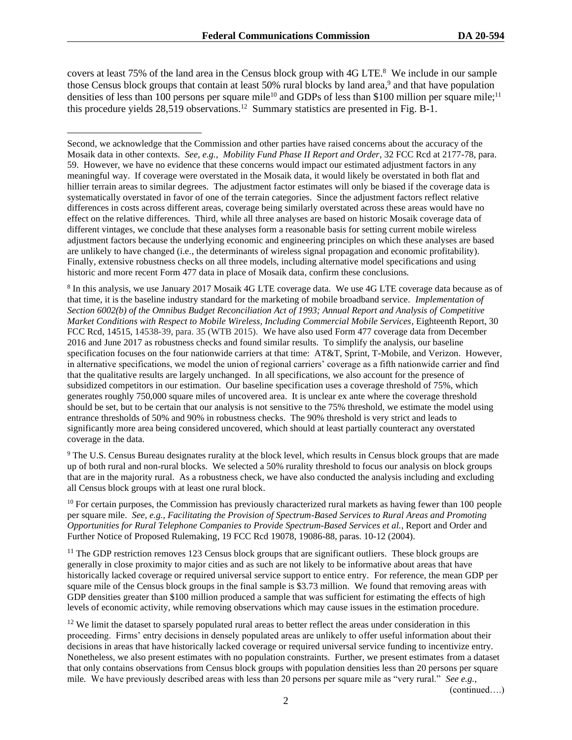covers at least 75% of the land area in the Census block group with 4G LTE.<sup>8</sup> We include in our sample those Census block groups that contain at least 50% rural blocks by land area,<sup>9</sup> and that have population densities of less than 100 persons per square mile<sup>10</sup> and GDPs of less than \$100 million per square mile;<sup>11</sup> this procedure yields  $28,519$  observations.<sup>12</sup> Summary statistics are presented in Fig. B-1.

8 In this analysis, we use January 2017 Mosaik 4G LTE coverage data. We use 4G LTE coverage data because as of that time, it is the baseline industry standard for the marketing of mobile broadband service. *Implementation of Section 6002(b) of the Omnibus Budget Reconciliation Act of 1993; Annual Report and Analysis of Competitive Market Conditions with Respect to Mobile Wireless, Including Commercial Mobile Services*, Eighteenth Report, 30 FCC Rcd, 14515, 14538-39, para. 35 (WTB 2015). We have also used Form 477 coverage data from December 2016 and June 2017 as robustness checks and found similar results. To simplify the analysis, our baseline specification focuses on the four nationwide carriers at that time: AT&T, Sprint, T-Mobile, and Verizon. However, in alternative specifications, we model the union of regional carriers' coverage as a fifth nationwide carrier and find that the qualitative results are largely unchanged. In all specifications, we also account for the presence of subsidized competitors in our estimation. Our baseline specification uses a coverage threshold of 75%, which generates roughly 750,000 square miles of uncovered area. It is unclear ex ante where the coverage threshold should be set, but to be certain that our analysis is not sensitive to the 75% threshold, we estimate the model using entrance thresholds of 50% and 90% in robustness checks. The 90% threshold is very strict and leads to significantly more area being considered uncovered, which should at least partially counteract any overstated coverage in the data.

<sup>9</sup> The U.S. Census Bureau designates rurality at the block level, which results in Census block groups that are made up of both rural and non-rural blocks. We selected a 50% rurality threshold to focus our analysis on block groups that are in the majority rural. As a robustness check, we have also conducted the analysis including and excluding all Census block groups with at least one rural block.

 $10$  For certain purposes, the Commission has previously characterized rural markets as having fewer than 100 people per square mile. *See, e.g., Facilitating the Provision of Spectrum-Based Services to Rural Areas and Promoting Opportunities for Rural Telephone Companies to Provide Spectrum-Based Services et al.*, Report and Order and Further Notice of Proposed Rulemaking, 19 FCC Rcd 19078, 19086-88, paras. 10-12 (2004).

<sup>11</sup> The GDP restriction removes 123 Census block groups that are significant outliers. These block groups are generally in close proximity to major cities and as such are not likely to be informative about areas that have historically lacked coverage or required universal service support to entice entry. For reference, the mean GDP per square mile of the Census block groups in the final sample is \$3.73 million. We found that removing areas with GDP densities greater than \$100 million produced a sample that was sufficient for estimating the effects of high levels of economic activity, while removing observations which may cause issues in the estimation procedure.

 $12$  We limit the dataset to sparsely populated rural areas to better reflect the areas under consideration in this proceeding. Firms' entry decisions in densely populated areas are unlikely to offer useful information about their decisions in areas that have historically lacked coverage or required universal service funding to incentivize entry. Nonetheless, we also present estimates with no population constraints. Further, we present estimates from a dataset that only contains observations from Census block groups with population densities less than 20 persons per square mile*.* We have previously described areas with less than 20 persons per square mile as "very rural." *See e.g.,* 

(continued….)

Second, we acknowledge that the Commission and other parties have raised concerns about the accuracy of the Mosaik data in other contexts. *See, e.g., Mobility Fund Phase II Report and Order*, 32 FCC Rcd at 2177-78, para. 59. However, we have no evidence that these concerns would impact our estimated adjustment factors in any meaningful way. If coverage were overstated in the Mosaik data, it would likely be overstated in both flat and hillier terrain areas to similar degrees. The adjustment factor estimates will only be biased if the coverage data is systematically overstated in favor of one of the terrain categories. Since the adjustment factors reflect relative differences in costs across different areas, coverage being similarly overstated across these areas would have no effect on the relative differences. Third, while all three analyses are based on historic Mosaik coverage data of different vintages, we conclude that these analyses form a reasonable basis for setting current mobile wireless adjustment factors because the underlying economic and engineering principles on which these analyses are based are unlikely to have changed (i.e., the determinants of wireless signal propagation and economic profitability). Finally, extensive robustness checks on all three models, including alternative model specifications and using historic and more recent Form 477 data in place of Mosaik data, confirm these conclusions.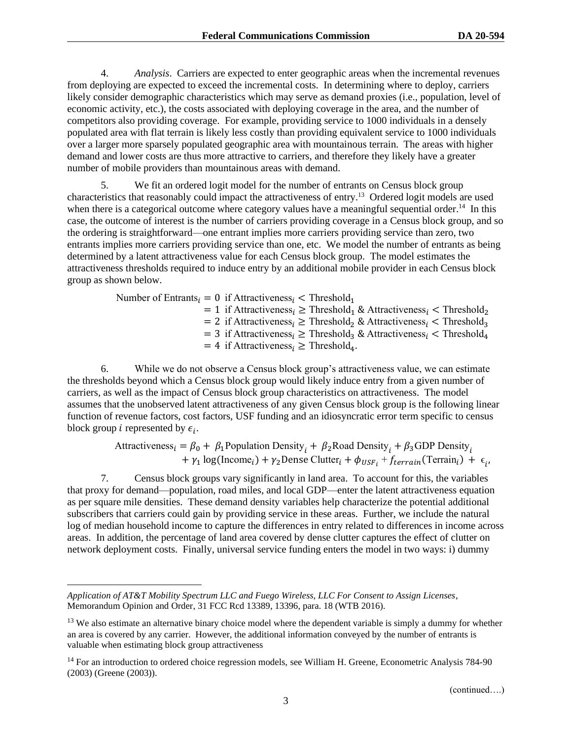4. *Analysis*. Carriers are expected to enter geographic areas when the incremental revenues from deploying are expected to exceed the incremental costs. In determining where to deploy, carriers likely consider demographic characteristics which may serve as demand proxies (i.e., population, level of economic activity, etc.), the costs associated with deploying coverage in the area, and the number of competitors also providing coverage. For example, providing service to 1000 individuals in a densely populated area with flat terrain is likely less costly than providing equivalent service to 1000 individuals over a larger more sparsely populated geographic area with mountainous terrain. The areas with higher demand and lower costs are thus more attractive to carriers, and therefore they likely have a greater number of mobile providers than mountainous areas with demand.

5. We fit an ordered logit model for the number of entrants on Census block group characteristics that reasonably could impact the attractiveness of entry.<sup>13</sup> Ordered logit models are used when there is a categorical outcome where category values have a meaningful sequential order.<sup>14</sup> In this case, the outcome of interest is the number of carriers providing coverage in a Census block group, and so the ordering is straightforward—one entrant implies more carriers providing service than zero, two entrants implies more carriers providing service than one, etc. We model the number of entrants as being determined by a latent attractiveness value for each Census block group. The model estimates the attractiveness thresholds required to induce entry by an additional mobile provider in each Census block group as shown below.

> Number of Entrants  $i = 0$  if Attractiveness  $i <$  Threshold<sub>1</sub>  $= 1$  if Attractiveness<sub>i</sub>  $\geq$  Threshold<sub>1</sub> & Attractiveness<sub>i</sub>  $\lt$  Threshold<sub>2</sub>  $= 2$  if Attractiveness<sub>i</sub>  $\geq$  Threshold<sub>2</sub> & Attractiveness<sub>i</sub>  $\leq$  Threshold<sub>3</sub>  $= 3$  if Attractiveness<sub>i</sub>  $\geq$  Threshold<sub>3</sub> & Attractiveness<sub>i</sub>  $\lt$  Threshold<sub>4</sub>  $= 4$  if Attractiveness<sub>i</sub>  $\geq$  Threshold<sub>4</sub>.

6. While we do not observe a Census block group's attractiveness value, we can estimate the thresholds beyond which a Census block group would likely induce entry from a given number of carriers, as well as the impact of Census block group characteristics on attractiveness. The model assumes that the unobserved latent attractiveness of any given Census block group is the following linear function of revenue factors, cost factors, USF funding and an idiosyncratic error term specific to census block group *i* represented by  $\epsilon_i$ .

> Attractiveness<sub>i</sub> =  $\beta_0$  +  $\beta_1$ Population Density<sub>i</sub> +  $\beta_2$ Road Density<sub>i</sub> +  $\beta_3$ GDP Density<sub>i</sub> +  $\gamma_1$  log(Income<sub>i</sub>) +  $\gamma_2$ Dense Clutter<sub>i</sub> +  $\phi_{USF_i}$  +  $f_{terrain}$ (Terrain<sub>i</sub>) +  $\epsilon_i$ ,

7. Census block groups vary significantly in land area. To account for this, the variables that proxy for demand—population, road miles, and local GDP—enter the latent attractiveness equation as per square mile densities. These demand density variables help characterize the potential additional subscribers that carriers could gain by providing service in these areas. Further, we include the natural log of median household income to capture the differences in entry related to differences in income across areas. In addition, the percentage of land area covered by dense clutter captures the effect of clutter on network deployment costs. Finally, universal service funding enters the model in two ways: i) dummy

*Application of AT&T Mobility Spectrum LLC and Fuego Wireless, LLC For Consent to Assign Licenses*, Memorandum Opinion and Order, 31 FCC Rcd 13389, 13396, para. 18 (WTB 2016).

<sup>&</sup>lt;sup>13</sup> We also estimate an alternative binary choice model where the dependent variable is simply a dummy for whether an area is covered by any carrier. However, the additional information conveyed by the number of entrants is valuable when estimating block group attractiveness

<sup>&</sup>lt;sup>14</sup> For an introduction to ordered choice regression models, see William H. Greene, Econometric Analysis 784-90 (2003) (Greene (2003)).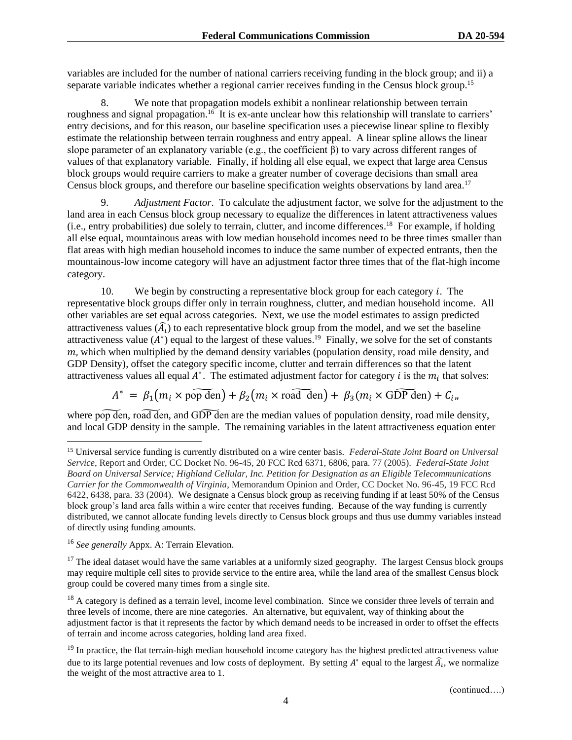variables are included for the number of national carriers receiving funding in the block group; and ii) a separate variable indicates whether a regional carrier receives funding in the Census block group.<sup>15</sup>

8. We note that propagation models exhibit a nonlinear relationship between terrain roughness and signal propagation.<sup>16</sup> It is ex-ante unclear how this relationship will translate to carriers' entry decisions, and for this reason, our baseline specification uses a piecewise linear spline to flexibly estimate the relationship between terrain roughness and entry appeal. A linear spline allows the linear slope parameter of an explanatory variable (e.g., the coefficient β) to vary across different ranges of values of that explanatory variable. Finally, if holding all else equal, we expect that large area Census block groups would require carriers to make a greater number of coverage decisions than small area Census block groups, and therefore our baseline specification weights observations by land area.<sup>17</sup>

9. *Adjustment Factor*. To calculate the adjustment factor, we solve for the adjustment to the land area in each Census block group necessary to equalize the differences in latent attractiveness values (i.e., entry probabilities) due solely to terrain, clutter, and income differences. <sup>18</sup> For example, if holding all else equal, mountainous areas with low median household incomes need to be three times smaller than flat areas with high median household incomes to induce the same number of expected entrants, then the mountainous-low income category will have an adjustment factor three times that of the flat-high income category.

10. We begin by constructing a representative block group for each category . The representative block groups differ only in terrain roughness, clutter, and median household income. All other variables are set equal across categories. Next, we use the model estimates to assign predicted attractiveness values  $(\widehat{A}_l)$  to each representative block group from the model, and we set the baseline attractiveness value  $(A^*)$  equal to the largest of these values.<sup>19</sup> Finally, we solve for the set of constants  $m$ , which when multiplied by the demand density variables (population density, road mile density, and GDP Density), offset the category specific income, clutter and terrain differences so that the latent attractiveness values all equal  $A^*$ . The estimated adjustment factor for category *i* is the  $m_i$  that solves:

$$
A^* = \beta_1(m_i \times \widetilde{\text{pop den}}) + \beta_2(m_i \times \widetilde{\text{road den}}) + \beta_3(m_i \times \widetilde{\text{GDP den}}) + C_{i}
$$

where pop den, road den, and GDP den are the median values of population density, road mile density, and local GDP density in the sample. The remaining variables in the latent attractiveness equation enter

<sup>15</sup> Universal service funding is currently distributed on a wire center basis. *Federal-State Joint Board on Universal Service*, Report and Order, CC Docket No. 96-45, 20 FCC Rcd 6371, 6806, para. 77 (2005). *Federal-State Joint Board on Universal Service; Highland Cellular, Inc. Petition for Designation as an Eligible Telecommunications Carrier for the Commonwealth of Virginia*, Memorandum Opinion and Order, CC Docket No. 96-45, 19 FCC Rcd 6422, 6438, para. 33 (2004). We designate a Census block group as receiving funding if at least 50% of the Census block group's land area falls within a wire center that receives funding. Because of the way funding is currently distributed, we cannot allocate funding levels directly to Census block groups and thus use dummy variables instead of directly using funding amounts.

<sup>16</sup> *See generally* Appx. A: Terrain Elevation.

 $17$  The ideal dataset would have the same variables at a uniformly sized geography. The largest Census block groups may require multiple cell sites to provide service to the entire area, while the land area of the smallest Census block group could be covered many times from a single site.

<sup>&</sup>lt;sup>18</sup> A category is defined as a terrain level, income level combination. Since we consider three levels of terrain and three levels of income, there are nine categories. An alternative, but equivalent, way of thinking about the adjustment factor is that it represents the factor by which demand needs to be increased in order to offset the effects of terrain and income across categories, holding land area fixed.

 $19$  In practice, the flat terrain-high median household income category has the highest predicted attractiveness value due to its large potential revenues and low costs of deployment. By setting  $A^*$  equal to the largest  $\widehat{A}_t$ , we normalize the weight of the most attractive area to 1.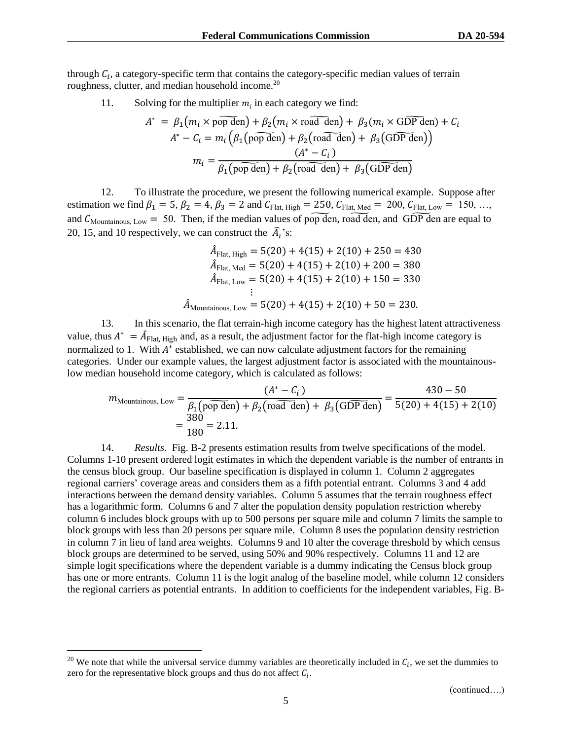through  $C_i$ , a category-specific term that contains the category-specific median values of terrain roughness, clutter, and median household income.<sup>20</sup>

11. Solving for the multiplier  $m_i$  in each category we find:

$$
A^* = \beta_1(m_i \times \text{pop den}) + \beta_2(m_i \times \text{road den}) + \beta_3(m_i \times \text{GDP den}) + C_i
$$
  

$$
A^* - C_i = m_i \left( \beta_1(\text{pop den}) + \beta_2(\text{road den}) + \beta_3(\text{GDP den}) \right)
$$
  

$$
m_i = \frac{(A^* - C_i)}{\beta_1(\text{pop den}) + \beta_2(\text{road den}) + \beta_3(\text{GDP den})}
$$

12. To illustrate the procedure, we present the following numerical example. Suppose after estimation we find  $\beta_1 = 5$ ,  $\beta_2 = 4$ ,  $\beta_3 = 2$  and  $C_{Flat, High} = 250$ ,  $C_{Flat, Med} = 200$ ,  $C_{Flat, Low} = 150$ , ... and  $C_{\text{Mountainous, Low}} = 50$ . Then, if the median values of pop den, road den, and GDP den are equal to 20, 15, and 10 respectively, we can construct the  $\hat{A}_i$ 's:

$$
\hat{A}_{\text{Flat, High}} = 5(20) + 4(15) + 2(10) + 250 = 430
$$
\n
$$
\hat{A}_{\text{Flat, Med}} = 5(20) + 4(15) + 2(10) + 200 = 380
$$
\n
$$
\hat{A}_{\text{Flat, Low}} = 5(20) + 4(15) + 2(10) + 150 = 330
$$
\n
$$
\vdots
$$
\n
$$
\hat{A}_{\text{Mountainous, Low}} = 5(20) + 4(15) + 2(10) + 50 = 230.
$$

13. In this scenario, the flat terrain-high income category has the highest latent attractiveness value, thus  $A^* = \hat{A}_{Flat, High}$  and, as a result, the adjustment factor for the flat-high income category is normalized to 1. With  $A^*$  established, we can now calculate adjustment factors for the remaining categories. Under our example values, the largest adjustment factor is associated with the mountainouslow median household income category, which is calculated as follows:

$$
m_{\text{Mountainous, Low}} = \frac{(A^* - C_i)}{\beta_1 \left(\text{pop den}\right) + \beta_2 \left(\text{road den}\right) + \beta_3 \left(\text{GDP den}\right)} = \frac{430 - 50}{5(20) + 4(15) + 2(10)} = \frac{380}{180} = 2.11.
$$

14. *Results*. Fig. B-2 presents estimation results from twelve specifications of the model. Columns 1-10 present ordered logit estimates in which the dependent variable is the number of entrants in the census block group. Our baseline specification is displayed in column 1. Column 2 aggregates regional carriers' coverage areas and considers them as a fifth potential entrant. Columns 3 and 4 add interactions between the demand density variables. Column 5 assumes that the terrain roughness effect has a logarithmic form. Columns 6 and 7 alter the population density population restriction whereby column 6 includes block groups with up to 500 persons per square mile and column 7 limits the sample to block groups with less than 20 persons per square mile. Column 8 uses the population density restriction in column 7 in lieu of land area weights. Columns 9 and 10 alter the coverage threshold by which census block groups are determined to be served, using 50% and 90% respectively. Columns 11 and 12 are simple logit specifications where the dependent variable is a dummy indicating the Census block group has one or more entrants. Column 11 is the logit analog of the baseline model, while column 12 considers the regional carriers as potential entrants. In addition to coefficients for the independent variables, Fig. B-

<sup>&</sup>lt;sup>20</sup> We note that while the universal service dummy variables are theoretically included in  $C_i$ , we set the dummies to zero for the representative block groups and thus do not affect  $C_i$ .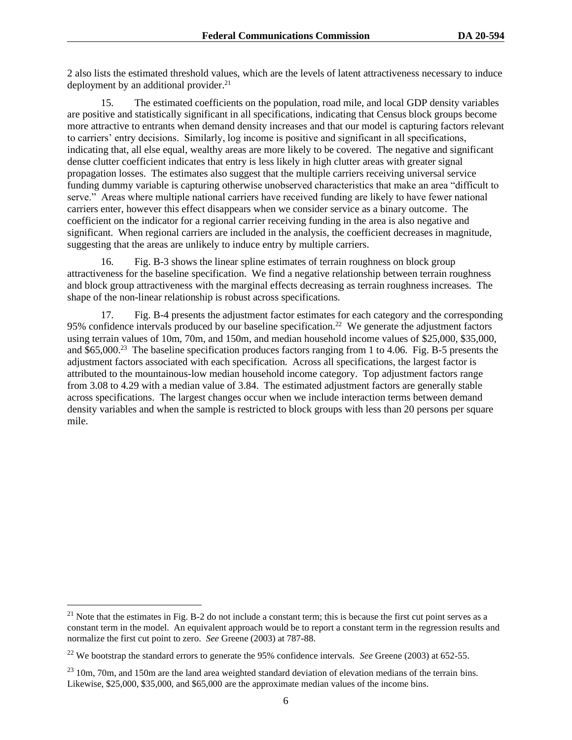2 also lists the estimated threshold values, which are the levels of latent attractiveness necessary to induce deployment by an additional provider. 21

15. The estimated coefficients on the population, road mile, and local GDP density variables are positive and statistically significant in all specifications, indicating that Census block groups become more attractive to entrants when demand density increases and that our model is capturing factors relevant to carriers' entry decisions. Similarly, log income is positive and significant in all specifications, indicating that, all else equal, wealthy areas are more likely to be covered. The negative and significant dense clutter coefficient indicates that entry is less likely in high clutter areas with greater signal propagation losses. The estimates also suggest that the multiple carriers receiving universal service funding dummy variable is capturing otherwise unobserved characteristics that make an area "difficult to serve." Areas where multiple national carriers have received funding are likely to have fewer national carriers enter, however this effect disappears when we consider service as a binary outcome. The coefficient on the indicator for a regional carrier receiving funding in the area is also negative and significant. When regional carriers are included in the analysis, the coefficient decreases in magnitude, suggesting that the areas are unlikely to induce entry by multiple carriers.

16. Fig. B-3 shows the linear spline estimates of terrain roughness on block group attractiveness for the baseline specification. We find a negative relationship between terrain roughness and block group attractiveness with the marginal effects decreasing as terrain roughness increases. The shape of the non-linear relationship is robust across specifications.

17. Fig. B-4 presents the adjustment factor estimates for each category and the corresponding 95% confidence intervals produced by our baseline specification.<sup>22</sup> We generate the adjustment factors using terrain values of 10m, 70m, and 150m, and median household income values of \$25,000, \$35,000, and \$65,000.<sup>23</sup> The baseline specification produces factors ranging from 1 to 4.06. Fig. B-5 presents the adjustment factors associated with each specification. Across all specifications, the largest factor is attributed to the mountainous-low median household income category. Top adjustment factors range from 3.08 to 4.29 with a median value of 3.84. The estimated adjustment factors are generally stable across specifications. The largest changes occur when we include interaction terms between demand density variables and when the sample is restricted to block groups with less than 20 persons per square mile.

<sup>&</sup>lt;sup>21</sup> Note that the estimates in Fig. B-2 do not include a constant term; this is because the first cut point serves as a constant term in the model. An equivalent approach would be to report a constant term in the regression results and normalize the first cut point to zero. *See* Greene (2003) at 787-88.

<sup>22</sup> We bootstrap the standard errors to generate the 95% confidence intervals. *See* Greene (2003) at 652-55.

<sup>&</sup>lt;sup>23</sup> 10m, 70m, and 150m are the land area weighted standard deviation of elevation medians of the terrain bins. Likewise, \$25,000, \$35,000, and \$65,000 are the approximate median values of the income bins.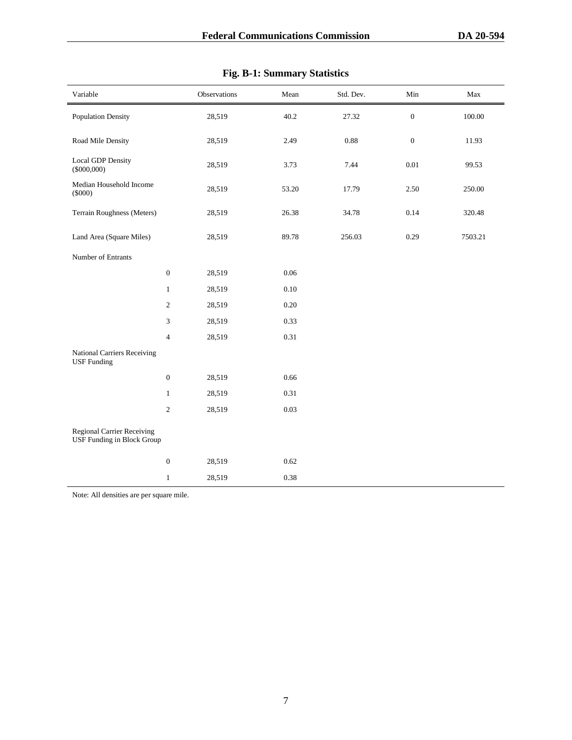| Variable                                                               |                  | Observations | Mean     | Std. Dev. | $\rm{Min}$       | Max     |
|------------------------------------------------------------------------|------------------|--------------|----------|-----------|------------------|---------|
| <b>Population Density</b>                                              |                  | 28,519       | 40.2     | 27.32     | $\boldsymbol{0}$ | 100.00  |
| Road Mile Density                                                      |                  | 28,519       | 2.49     | 0.88      | $\boldsymbol{0}$ | 11.93   |
| <b>Local GDP Density</b><br>$(\$000,000)$                              |                  | 28,519       | 3.73     | 7.44      | $0.01\,$         | 99.53   |
| Median Household Income<br>$(\$000)$                                   |                  | 28,519       | 53.20    | 17.79     | 2.50             | 250.00  |
| Terrain Roughness (Meters)                                             |                  | 28,519       | 26.38    | 34.78     | 0.14             | 320.48  |
| Land Area (Square Miles)                                               |                  | 28,519       | 89.78    | 256.03    | 0.29             | 7503.21 |
| Number of Entrants                                                     |                  |              |          |           |                  |         |
|                                                                        | $\boldsymbol{0}$ | 28,519       | $0.06\,$ |           |                  |         |
|                                                                        | $\mathbf{1}$     | 28,519       | $0.10\,$ |           |                  |         |
|                                                                        | $\sqrt{2}$       | 28,519       | $0.20\,$ |           |                  |         |
|                                                                        | $\mathfrak{Z}$   | 28,519       | 0.33     |           |                  |         |
|                                                                        | $\overline{4}$   | 28,519       | 0.31     |           |                  |         |
| <b>National Carriers Receiving</b><br><b>USF</b> Funding               |                  |              |          |           |                  |         |
|                                                                        | $\boldsymbol{0}$ | 28,519       | 0.66     |           |                  |         |
|                                                                        | $\mathbf{1}$     | 28,519       | 0.31     |           |                  |         |
|                                                                        | $\sqrt{2}$       | 28,519       | 0.03     |           |                  |         |
| <b>Regional Carrier Receiving</b><br><b>USF Funding in Block Group</b> |                  |              |          |           |                  |         |
|                                                                        | $\boldsymbol{0}$ | 28,519       | 0.62     |           |                  |         |
|                                                                        | $\mathbf{1}$     | 28,519       | 0.38     |           |                  |         |

| <b>Fig. B-1: Summary Statistics</b> |  |
|-------------------------------------|--|
|                                     |  |

Note: All densities are per square mile.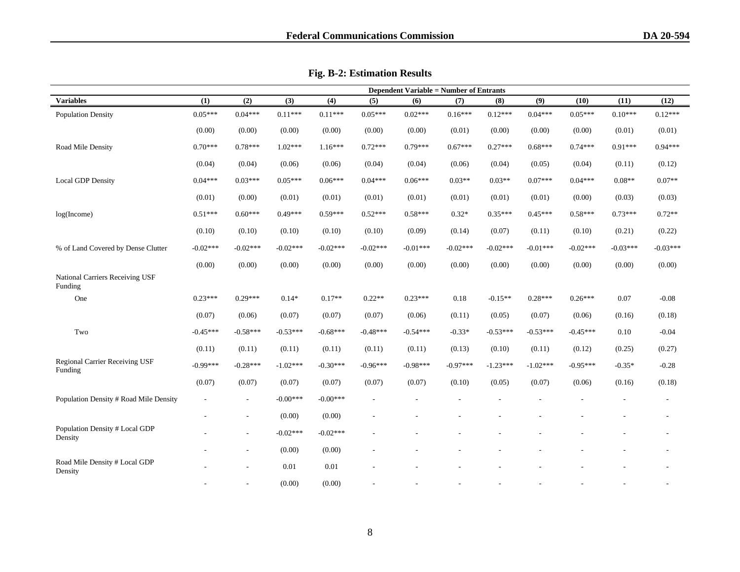|                                                  | <b>Dependent Variable = Number of Entrants</b> |                          |            |            |            |                          |                          |            |            |            |                          |            |
|--------------------------------------------------|------------------------------------------------|--------------------------|------------|------------|------------|--------------------------|--------------------------|------------|------------|------------|--------------------------|------------|
| <b>Variables</b>                                 | (1)                                            | (2)                      | (3)        | (4)        | (5)        | (6)                      | (7)                      | (8)        | (9)        | (10)       | (11)                     | (12)       |
| <b>Population Density</b>                        | $0.05***$                                      | $0.04***$                | $0.11***$  | $0.11***$  | $0.05***$  | $0.02***$                | $0.16***$                | $0.12***$  | $0.04***$  | $0.05***$  | $0.10***$                | $0.12***$  |
|                                                  | (0.00)                                         | (0.00)                   | (0.00)     | (0.00)     | (0.00)     | (0.00)                   | (0.01)                   | (0.00)     | (0.00)     | (0.00)     | (0.01)                   | (0.01)     |
| Road Mile Density                                | $0.70***$                                      | $0.78***$                | $1.02***$  | $1.16***$  | $0.72***$  | $0.79***$                | $0.67***$                | $0.27***$  | $0.68***$  | $0.74***$  | $0.91***$                | $0.94***$  |
|                                                  | (0.04)                                         | (0.04)                   | (0.06)     | (0.06)     | (0.04)     | (0.04)                   | (0.06)                   | (0.04)     | (0.05)     | (0.04)     | (0.11)                   | (0.12)     |
| <b>Local GDP Density</b>                         | $0.04***$                                      | $0.03***$                | $0.05***$  | $0.06***$  | $0.04***$  | $0.06***$                | $0.03**$                 | $0.03**$   | $0.07***$  | $0.04***$  | $0.08**$                 | $0.07**$   |
|                                                  | (0.01)                                         | (0.00)                   | (0.01)     | (0.01)     | (0.01)     | (0.01)                   | (0.01)                   | (0.01)     | (0.01)     | (0.00)     | (0.03)                   | (0.03)     |
| log(Income)                                      | $0.51***$                                      | $0.60***$                | $0.49***$  | $0.59***$  | $0.52***$  | $0.58***$                | $0.32*$                  | $0.35***$  | $0.45***$  | $0.58***$  | $0.73***$                | $0.72**$   |
|                                                  | (0.10)                                         | (0.10)                   | (0.10)     | (0.10)     | (0.10)     | (0.09)                   | (0.14)                   | (0.07)     | (0.11)     | (0.10)     | (0.21)                   | (0.22)     |
| % of Land Covered by Dense Clutter               | $-0.02***$                                     | $-0.02***$               | $-0.02***$ | $-0.02***$ | $-0.02***$ | $-0.01***$               | $-0.02***$               | $-0.02***$ | $-0.01***$ | $-0.02***$ | $-0.03***$               | $-0.03***$ |
|                                                  | (0.00)                                         | (0.00)                   | (0.00)     | (0.00)     | (0.00)     | (0.00)                   | (0.00)                   | (0.00)     | (0.00)     | (0.00)     | (0.00)                   | (0.00)     |
| National Carriers Receiving USF<br>Funding       |                                                |                          |            |            |            |                          |                          |            |            |            |                          |            |
| One                                              | $0.23***$                                      | $0.29***$                | $0.14*$    | $0.17**$   | $0.22**$   | $0.23***$                | $0.18\,$                 | $-0.15**$  | $0.28***$  | $0.26***$  | 0.07                     | $-0.08$    |
|                                                  | (0.07)                                         | (0.06)                   | (0.07)     | (0.07)     | (0.07)     | (0.06)                   | (0.11)                   | (0.05)     | (0.07)     | (0.06)     | (0.16)                   | (0.18)     |
| Two                                              | $-0.45***$                                     | $-0.58***$               | $-0.53***$ | $-0.68***$ | $-0.48***$ | $-0.54***$               | $-0.33*$                 | $-0.53***$ | $-0.53***$ | $-0.45***$ | 0.10                     | $-0.04$    |
|                                                  | (0.11)                                         | (0.11)                   | (0.11)     | (0.11)     | (0.11)     | (0.11)                   | (0.13)                   | (0.10)     | (0.11)     | (0.12)     | (0.25)                   | (0.27)     |
| <b>Regional Carrier Receiving USF</b><br>Funding | $-0.99***$                                     | $-0.28***$               | $-1.02***$ | $-0.30***$ | $-0.96***$ | $-0.98***$               | $-0.97***$               | $-1.23***$ | $-1.02***$ | $-0.95***$ | $-0.35*$                 | $-0.28$    |
|                                                  | (0.07)                                         | (0.07)                   | (0.07)     | (0.07)     | (0.07)     | (0.07)                   | (0.10)                   | (0.05)     | (0.07)     | (0.06)     | (0.16)                   | (0.18)     |
| Population Density # Road Mile Density           | $\overline{\phantom{a}}$                       | $\overline{\phantom{a}}$ | $-0.00***$ | $-0.00***$ | $\sim$     | L,                       | $\overline{\phantom{a}}$ |            |            |            | $\overline{\phantom{a}}$ | $\sim$     |
|                                                  |                                                | ٠                        | (0.00)     | (0.00)     |            | $\overline{\phantom{a}}$ | ÷                        |            |            |            |                          | $\sim$     |
| Population Density # Local GDP<br>Density        |                                                | ٠                        | $-0.02***$ | $-0.02***$ |            |                          |                          |            |            |            |                          | $\sim$     |
|                                                  |                                                | $\overline{\phantom{a}}$ | (0.00)     | (0.00)     |            |                          |                          |            |            |            |                          |            |
| Road Mile Density # Local GDP<br>Density         |                                                | $\overline{a}$           | 0.01       | 0.01       |            |                          |                          |            |            |            |                          |            |
|                                                  |                                                |                          | (0.00)     | (0.00)     |            |                          |                          |            |            |            |                          |            |

**Fig. B-2: Estimation Results**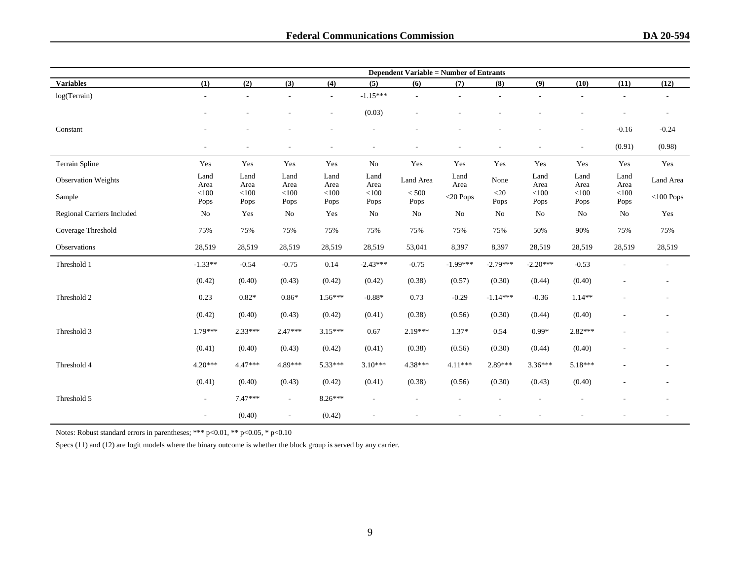|                            |                          |                          |                             |                          |                 | <b>Dependent Variable = Number of Entrants</b> |              |                |                          |                          |                 |                          |
|----------------------------|--------------------------|--------------------------|-----------------------------|--------------------------|-----------------|------------------------------------------------|--------------|----------------|--------------------------|--------------------------|-----------------|--------------------------|
| <b>Variables</b>           | (1)                      | (2)                      | (3)                         | (4)                      | (5)             | (6)                                            | (7)          | (8)            | (9)                      | (10)                     | (11)            | (12)                     |
| log(Terrain)               | $\sim$                   | $\sim$                   | $\overline{a}$              | $\overline{\phantom{a}}$ | $-1.15***$      |                                                |              |                |                          |                          |                 | $\overline{\phantom{a}}$ |
|                            |                          |                          |                             | $\overline{\phantom{a}}$ | (0.03)          |                                                |              |                |                          |                          |                 | ٠                        |
| Constant                   |                          |                          |                             |                          |                 |                                                |              |                |                          | ٠                        | $-0.16$         | $-0.24$                  |
|                            | $\overline{\phantom{a}}$ | $\overline{\phantom{a}}$ | ٠                           | $\overline{\phantom{a}}$ |                 |                                                |              |                | $\overline{\phantom{a}}$ | $\overline{\phantom{a}}$ | (0.91)          | (0.98)                   |
| Terrain Spline             | Yes                      | Yes                      | Yes                         | Yes                      | No              | Yes                                            | Yes          | Yes            | Yes                      | Yes                      | Yes             | Yes                      |
| <b>Observation Weights</b> | Land<br>Area             | Land<br>Area             | Land<br>Area                | Land<br>Area             | Land<br>Area    | Land Area                                      | Land<br>Area | None           | Land<br>Area             | Land<br>Area             | Land<br>Area    | Land Area                |
| Sample                     | $<$ 100<br>Pops          | $<$ 100<br>Pops          | < 100<br>Pops               | < 100<br>Pops            | $<$ 100<br>Pops | < 500<br>Pops                                  | $<$ 20 Pops  | $<$ 20<br>Pops | $<$ 100<br>Pops          | < 100<br>Pops            | $<$ 100<br>Pops | $<$ 100 Pops             |
| Regional Carriers Included | No                       | Yes                      | No                          | Yes                      | No              | No                                             | No           | No             | No                       | No                       | No              | Yes                      |
| Coverage Threshold         | 75%                      | 75%                      | 75%                         | 75%                      | 75%             | 75%                                            | 75%          | 75%            | 50%                      | 90%                      | 75%             | 75%                      |
| Observations               | 28,519                   | 28,519                   | 28,519                      | 28,519                   | 28,519          | 53,041                                         | 8,397        | 8,397          | 28,519                   | 28,519                   | 28,519          | 28,519                   |
| Threshold 1                | $-1.33**$                | $-0.54$                  | $-0.75$                     | 0.14                     | $-2.43***$      | $-0.75$                                        | $-1.99***$   | $-2.79***$     | $-2.20***$               | $-0.53$                  |                 | $\overline{a}$           |
|                            | (0.42)                   | (0.40)                   | (0.43)                      | (0.42)                   | (0.42)          | (0.38)                                         | (0.57)       | (0.30)         | (0.44)                   | (0.40)                   |                 |                          |
| Threshold 2                | 0.23                     | $0.82*$                  | $0.86*$                     | $1.56***$                | $-0.88*$        | 0.73                                           | $-0.29$      | $-1.14***$     | $-0.36$                  | $1.14**$                 |                 | -                        |
|                            | (0.42)                   | (0.40)                   | (0.43)                      | (0.42)                   | (0.41)          | (0.38)                                         | (0.56)       | (0.30)         | (0.44)                   | (0.40)                   |                 |                          |
| Threshold 3                | $1.79***$                | $2.33***$                | $2.47***$                   | $3.15***$                | 0.67            | $2.19***$                                      | $1.37*$      | 0.54           | $0.99*$                  | 2.82***                  |                 |                          |
|                            | (0.41)                   | (0.40)                   | (0.43)                      | (0.42)                   | (0.41)          | (0.38)                                         | (0.56)       | (0.30)         | (0.44)                   | (0.40)                   |                 |                          |
| Threshold 4                | $4.20***$                | $4.47***$                | 4.89***                     | 5.33***                  | $3.10***$       | $4.38***$                                      | $4.11***$    | 2.89***        | $3.36***$                | 5.18***                  |                 |                          |
|                            | (0.41)                   | (0.40)                   | (0.43)                      | (0.42)                   | (0.41)          | (0.38)                                         | (0.56)       | (0.30)         | (0.43)                   | (0.40)                   |                 |                          |
| Threshold 5                | $\sim$                   | $7.47***$                | $\mathcal{L}_{\mathcal{A}}$ | $8.26***$                |                 |                                                |              |                |                          |                          |                 |                          |
|                            | $\overline{\phantom{a}}$ | (0.40)                   | $\overline{\phantom{a}}$    | (0.42)                   |                 |                                                |              |                |                          |                          |                 |                          |

Notes: Robust standard errors in parentheses; \*\*\* p<0.01, \*\* p<0.05, \* p<0.10

Specs (11) and (12) are logit models where the binary outcome is whether the block group is served by any carrier.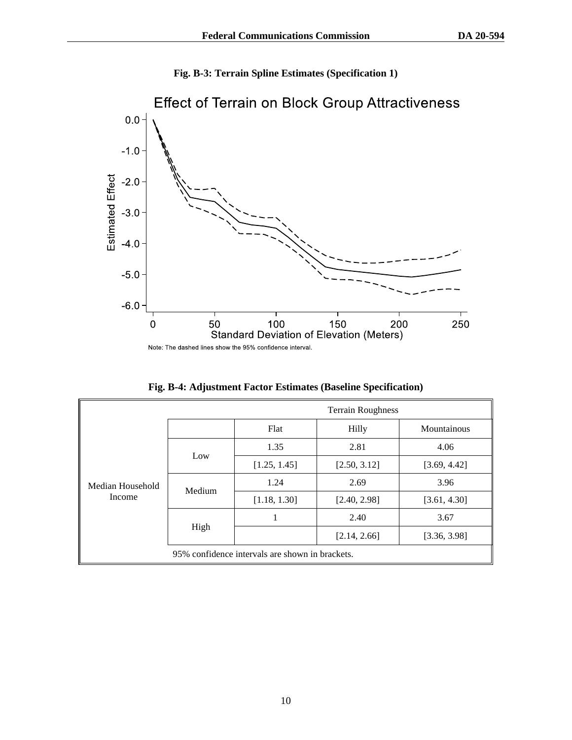



|  |  |  |  |  |  | Fig. B-4: Adjustment Factor Estimates (Baseline Specification) |  |
|--|--|--|--|--|--|----------------------------------------------------------------|--|
|--|--|--|--|--|--|----------------------------------------------------------------|--|

|                  |        |                                                 | <b>Terrain Roughness</b> |              |
|------------------|--------|-------------------------------------------------|--------------------------|--------------|
|                  |        | Flat                                            | Hilly                    | Mountainous  |
|                  | Low    | 1.35                                            | 2.81                     | 4.06         |
|                  |        | [1.25, 1.45]                                    | [2.50, 3.12]             | [3.69, 4.42] |
| Median Household | Medium | 1.24                                            | 2.69                     | 3.96         |
| Income           |        | [1.18, 1.30]                                    | [2.40, 2.98]             | [3.61, 4.30] |
|                  |        | 1                                               | 2.40                     | 3.67         |
|                  | High   |                                                 | [2.14, 2.66]             | [3.36, 3.98] |
|                  |        | 95% confidence intervals are shown in brackets. |                          |              |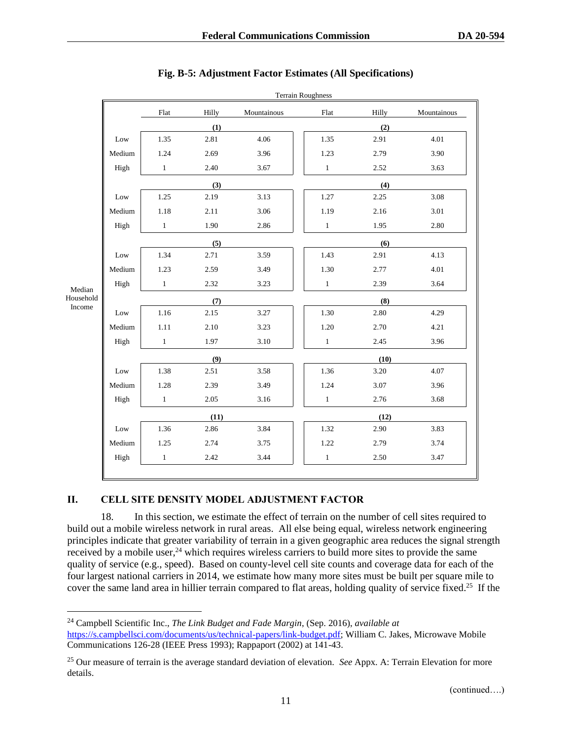|           |        |              |       |             | <b>Terrain Roughness</b> |       |             |  |
|-----------|--------|--------------|-------|-------------|--------------------------|-------|-------------|--|
|           |        | Flat         | Hilly | Mountainous | Flat                     | Hilly | Mountainous |  |
|           |        |              | (1)   |             |                          | (2)   |             |  |
|           | Low    | 1.35         | 2.81  | 4.06        | 1.35                     | 2.91  | 4.01        |  |
|           | Medium | 1.24         | 2.69  | 3.96        | 1.23                     | 2.79  | 3.90        |  |
|           | High   | $\mathbf{1}$ | 2.40  | 3.67        | $\mathbf{1}$             | 2.52  | 3.63        |  |
|           |        |              | (3)   |             |                          | (4)   |             |  |
|           | Low    | 1.25         | 2.19  | 3.13        | 1.27                     | 2.25  | 3.08        |  |
|           | Medium | $1.18\,$     | 2.11  | 3.06        | 1.19                     | 2.16  | 3.01        |  |
|           | High   | $\mathbf{1}$ | 1.90  | 2.86        | $\mathbf{1}$             | 1.95  | 2.80        |  |
|           |        |              | (5)   |             |                          | (6)   |             |  |
|           | Low    | 1.34         | 2.71  | 3.59        | 1.43                     | 2.91  | 4.13        |  |
|           | Medium | 1.23         | 2.59  | 3.49        | 1.30                     | 2.77  | 4.01        |  |
| Median    | High   | $\mathbf{1}$ | 2.32  | 3.23        | $\mathbf{1}$             | 2.39  | 3.64        |  |
| Household |        |              | (7)   |             |                          | (8)   |             |  |
| Income    | Low    | 1.16         | 2.15  | 3.27        | 1.30                     | 2.80  | 4.29        |  |
|           | Medium | 1.11         | 2.10  | 3.23        | 1.20                     | 2.70  | 4.21        |  |
|           | High   | $\mathbf{1}$ | 1.97  | 3.10        | $\mathbf{1}$             | 2.45  | 3.96        |  |
|           |        |              | (9)   |             |                          | (10)  |             |  |
|           | Low    | 1.38         | 2.51  | 3.58        | 1.36                     | 3.20  | 4.07        |  |
|           | Medium | 1.28         | 2.39  | 3.49        | 1.24                     | 3.07  | 3.96        |  |
|           | High   | $\mathbf{1}$ | 2.05  | 3.16        | $\mathbf{1}$             | 2.76  | 3.68        |  |
|           |        |              | (11)  |             |                          | (12)  |             |  |
|           | Low    | 1.36         | 2.86  | 3.84        | 1.32                     | 2.90  | 3.83        |  |
|           | Medium | 1.25         | 2.74  | 3.75        | 1.22                     | 2.79  | 3.74        |  |
|           | High   | $\,1\,$      | 2.42  | 3.44        | $\mathbf{1}$             | 2.50  | 3.47        |  |

# **Fig. B-5: Adjustment Factor Estimates (All Specifications)**

# **II. CELL SITE DENSITY MODEL ADJUSTMENT FACTOR**

18. In this section, we estimate the effect of terrain on the number of cell sites required to build out a mobile wireless network in rural areas. All else being equal, wireless network engineering principles indicate that greater variability of terrain in a given geographic area reduces the signal strength received by a mobile user,  $24$  which requires wireless carriers to build more sites to provide the same quality of service (e.g., speed). Based on county-level cell site counts and coverage data for each of the four largest national carriers in 2014, we estimate how many more sites must be built per square mile to cover the same land area in hillier terrain compared to flat areas, holding quality of service fixed.<sup>25</sup> If the

<sup>24</sup> Campbell Scientific Inc., *The Link Budget and Fade Margin*, (Sep. 2016), *available at* [https://s.campbellsci.com/documents/us/technical-papers/link-budget.pdf;](https://s.campbellsci.com/documents/us/technical-papers/link-budget.pdf) William C. Jakes, Microwave Mobile Communications 126-28 (IEEE Press 1993); Rappaport (2002) at 141-43.

<sup>25</sup> Our measure of terrain is the average standard deviation of elevation. *See* Appx. A: Terrain Elevation for more details.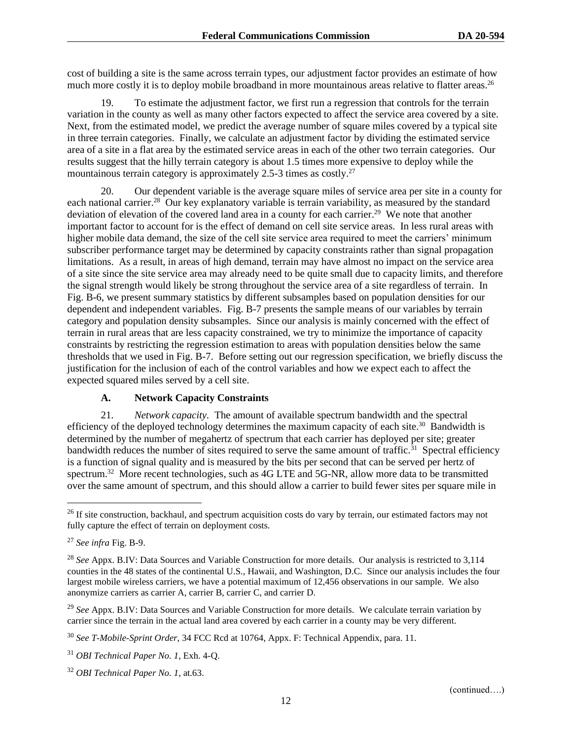cost of building a site is the same across terrain types, our adjustment factor provides an estimate of how much more costly it is to deploy mobile broadband in more mountainous areas relative to flatter areas.<sup>26</sup>

19. To estimate the adjustment factor, we first run a regression that controls for the terrain variation in the county as well as many other factors expected to affect the service area covered by a site. Next, from the estimated model, we predict the average number of square miles covered by a typical site in three terrain categories. Finally, we calculate an adjustment factor by dividing the estimated service area of a site in a flat area by the estimated service areas in each of the other two terrain categories. Our results suggest that the hilly terrain category is about 1.5 times more expensive to deploy while the mountainous terrain category is approximately 2.5-3 times as costly.<sup>27</sup>

20. Our dependent variable is the average square miles of service area per site in a county for each national carrier.<sup>28</sup> Our key explanatory variable is terrain variability, as measured by the standard deviation of elevation of the covered land area in a county for each carrier.<sup>29</sup> We note that another important factor to account for is the effect of demand on cell site service areas. In less rural areas with higher mobile data demand, the size of the cell site service area required to meet the carriers' minimum subscriber performance target may be determined by capacity constraints rather than signal propagation limitations. As a result, in areas of high demand, terrain may have almost no impact on the service area of a site since the site service area may already need to be quite small due to capacity limits, and therefore the signal strength would likely be strong throughout the service area of a site regardless of terrain. In Fig. B-6, we present summary statistics by different subsamples based on population densities for our dependent and independent variables. Fig. B-7 presents the sample means of our variables by terrain category and population density subsamples. Since our analysis is mainly concerned with the effect of terrain in rural areas that are less capacity constrained, we try to minimize the importance of capacity constraints by restricting the regression estimation to areas with population densities below the same thresholds that we used in Fig. B-7. Before setting out our regression specification, we briefly discuss the justification for the inclusion of each of the control variables and how we expect each to affect the expected squared miles served by a cell site.

#### **A. Network Capacity Constraints**

21. *Network capacity.* The amount of available spectrum bandwidth and the spectral efficiency of the deployed technology determines the maximum capacity of each site.<sup>30</sup> Bandwidth is determined by the number of megahertz of spectrum that each carrier has deployed per site; greater bandwidth reduces the number of sites required to serve the same amount of traffic.<sup>31</sup> Spectral efficiency is a function of signal quality and is measured by the bits per second that can be served per hertz of spectrum.<sup>32</sup> More recent technologies, such as 4G LTE and 5G-NR, allow more data to be transmitted over the same amount of spectrum, and this should allow a carrier to build fewer sites per square mile in

<sup>&</sup>lt;sup>26</sup> If site construction, backhaul, and spectrum acquisition costs do vary by terrain, our estimated factors may not fully capture the effect of terrain on deployment costs.

<sup>27</sup> *See infra* Fig. B-9.

<sup>28</sup> *See* Appx. B.IV: Data Sources and Variable Construction for more details. Our analysis is restricted to 3,114 counties in the 48 states of the continental U.S., Hawaii, and Washington, D.C. Since our analysis includes the four largest mobile wireless carriers, we have a potential maximum of 12,456 observations in our sample. We also anonymize carriers as carrier A, carrier B, carrier C, and carrier D.

<sup>29</sup> *See* Appx. B.IV: Data Sources and Variable Construction for more details. We calculate terrain variation by carrier since the terrain in the actual land area covered by each carrier in a county may be very different.

<sup>30</sup> *See T-Mobile-Sprint Order*, 34 FCC Rcd at 10764, Appx. F: Technical Appendix, para. 11.

<sup>31</sup> *OBI Technical Paper No. 1*, Exh. 4-Q.

<sup>32</sup> *OBI Technical Paper No. 1*, at.63.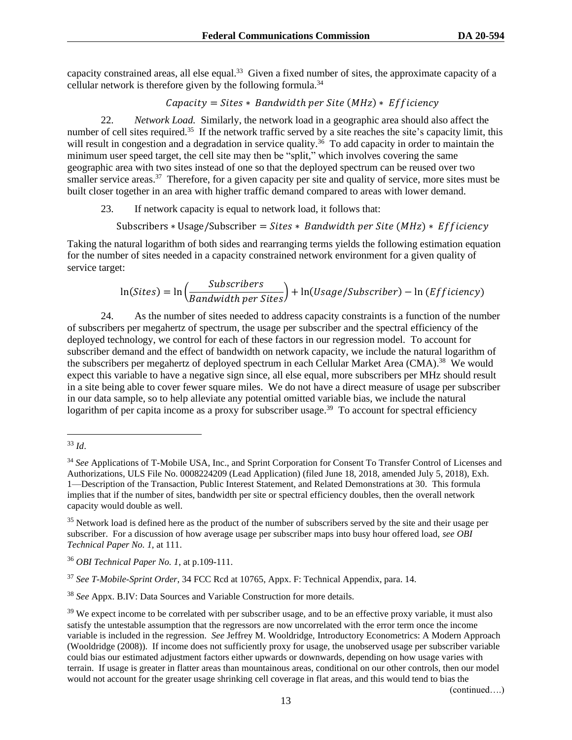capacity constrained areas, all else equal.<sup>33</sup> Given a fixed number of sites, the approximate capacity of a cellular network is therefore given by the following formula.<sup>34</sup>

 $Capacity = Sites * Bandwidth per Site (MHz) * Efficiency$ 

22. *Network Load.* Similarly, the network load in a geographic area should also affect the number of cell sites required.<sup>35</sup> If the network traffic served by a site reaches the site's capacity limit, this will result in congestion and a degradation in service quality.<sup>36</sup> To add capacity in order to maintain the minimum user speed target, the cell site may then be "split," which involves covering the same geographic area with two sites instead of one so that the deployed spectrum can be reused over two smaller service areas.<sup>37</sup> Therefore, for a given capacity per site and quality of service, more sites must be built closer together in an area with higher traffic demand compared to areas with lower demand.

23. If network capacity is equal to network load, it follows that:

Subscribers \* Usage/Subscriber =  $Stes * B$  andwidth per Site (MHz) \* Efficiencv

Taking the natural logarithm of both sides and rearranging terms yields the following estimation equation for the number of sites needed in a capacity constrained network environment for a given quality of service target:

$$
\ln(Sites) = \ln\left(\frac{Subscripts}{Bandwidth\ per\ Sites}\right) + \ln(Usage/Subscripter) - \ln(Efficiency)
$$

24. As the number of sites needed to address capacity constraints is a function of the number of subscribers per megahertz of spectrum, the usage per subscriber and the spectral efficiency of the deployed technology, we control for each of these factors in our regression model. To account for subscriber demand and the effect of bandwidth on network capacity, we include the natural logarithm of the subscribers per megahertz of deployed spectrum in each Cellular Market Area (CMA).<sup>38</sup> We would expect this variable to have a negative sign since, all else equal, more subscribers per MHz should result in a site being able to cover fewer square miles. We do not have a direct measure of usage per subscriber in our data sample, so to help alleviate any potential omitted variable bias, we include the natural logarithm of per capita income as a proxy for subscriber usage.<sup>39</sup> To account for spectral efficiency

(continued….)

<sup>33</sup> *Id*.

<sup>34</sup> *See* Applications of T-Mobile USA, Inc., and Sprint Corporation for Consent To Transfer Control of Licenses and Authorizations, ULS File No. 0008224209 (Lead Application) (filed June 18, 2018, amended July 5, 2018), Exh. 1—Description of the Transaction, Public Interest Statement, and Related Demonstrations at 30. This formula implies that if the number of sites, bandwidth per site or spectral efficiency doubles, then the overall network capacity would double as well.

<sup>&</sup>lt;sup>35</sup> Network load is defined here as the product of the number of subscribers served by the site and their usage per subscriber. For a discussion of how average usage per subscriber maps into busy hour offered load, *see OBI Technical Paper No. 1*, at 111.

<sup>36</sup> *OBI Technical Paper No. 1*, at p.109-111.

<sup>37</sup> *See T-Mobile-Sprint Order*, 34 FCC Rcd at 10765, Appx. F: Technical Appendix, para. 14.

<sup>38</sup> *See* Appx. B.IV: Data Sources and Variable Construction for more details.

<sup>&</sup>lt;sup>39</sup> We expect income to be correlated with per subscriber usage, and to be an effective proxy variable, it must also satisfy the untestable assumption that the regressors are now uncorrelated with the error term once the income variable is included in the regression. *See* Jeffrey M. Wooldridge, Introductory Econometrics: A Modern Approach (Wooldridge (2008)). If income does not sufficiently proxy for usage, the unobserved usage per subscriber variable could bias our estimated adjustment factors either upwards or downwards, depending on how usage varies with terrain. If usage is greater in flatter areas than mountainous areas, conditional on our other controls, then our model would not account for the greater usage shrinking cell coverage in flat areas, and this would tend to bias the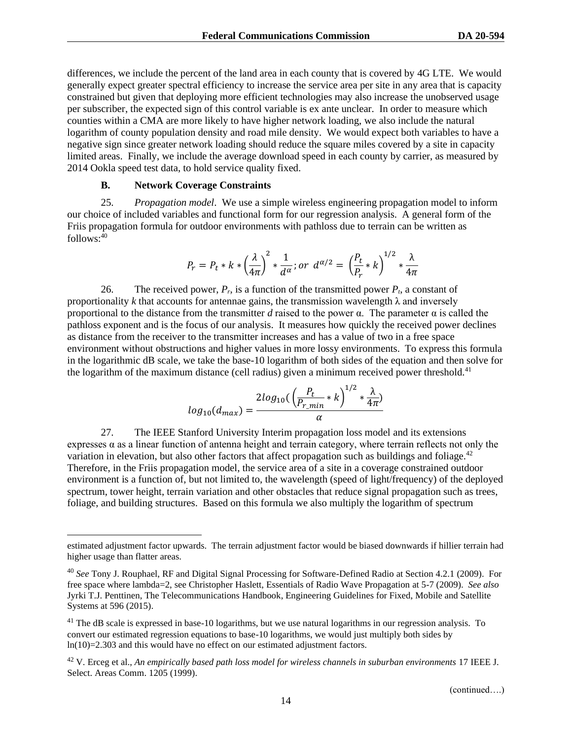differences, we include the percent of the land area in each county that is covered by 4G LTE. We would generally expect greater spectral efficiency to increase the service area per site in any area that is capacity constrained but given that deploying more efficient technologies may also increase the unobserved usage per subscriber, the expected sign of this control variable is ex ante unclear. In order to measure which counties within a CMA are more likely to have higher network loading, we also include the natural logarithm of county population density and road mile density. We would expect both variables to have a negative sign since greater network loading should reduce the square miles covered by a site in capacity limited areas. Finally, we include the average download speed in each county by carrier, as measured by 2014 Ookla speed test data, to hold service quality fixed.

#### **B. Network Coverage Constraints**

25. *Propagation model*. We use a simple wireless engineering propagation model to inform our choice of included variables and functional form for our regression analysis. A general form of the Friis propagation formula for outdoor environments with pathloss due to terrain can be written as  $follows: <sup>40</sup>$ 

$$
P_r = P_t * k * \left(\frac{\lambda}{4\pi}\right)^2 * \frac{1}{d^{\alpha}}; or \ d^{\alpha/2} = \left(\frac{P_t}{P_r} * k\right)^{1/2} * \frac{\lambda}{4\pi}
$$

26. The received power,  $P_r$  is a function of the transmitted power  $P_t$ , a constant of proportionality *k* that accounts for antennae gains, the transmission wavelength  $\lambda$  and inversely proportional to the distance from the transmitter *d* raised to the power  $\alpha$ . The parameter  $\alpha$  is called the pathloss exponent and is the focus of our analysis. It measures how quickly the received power declines as distance from the receiver to the transmitter increases and has a value of two in a free space environment without obstructions and higher values in more lossy environments. To express this formula in the logarithmic dB scale, we take the base-10 logarithm of both sides of the equation and then solve for the logarithm of the maximum distance (cell radius) given a minimum received power threshold.<sup>41</sup>

$$
log_{10}(d_{max}) = \frac{2log_{10}(\left(\frac{P_t}{P_{r\_min}} * k\right)^{1/2} * \frac{\lambda}{4\pi})}{\alpha}
$$

27. The IEEE Stanford University Interim propagation loss model and its extensions expresses  $\alpha$  as a linear function of antenna height and terrain category, where terrain reflects not only the variation in elevation, but also other factors that affect propagation such as buildings and foliage.<sup>42</sup> Therefore, in the Friis propagation model, the service area of a site in a coverage constrained outdoor environment is a function of, but not limited to, the wavelength (speed of light/frequency) of the deployed spectrum, tower height, terrain variation and other obstacles that reduce signal propagation such as trees, foliage, and building structures. Based on this formula we also multiply the logarithm of spectrum

estimated adjustment factor upwards. The terrain adjustment factor would be biased downwards if hillier terrain had higher usage than flatter areas.

<sup>40</sup> *See* Tony J. Rouphael, RF and Digital Signal Processing for Software-Defined Radio at Section 4.2.1 (2009). For free space where lambda=2, see Christopher Haslett, Essentials of Radio Wave Propagation at 5-7 (2009). *See also*  Jyrki T.J. Penttinen, The Telecommunications Handbook, Engineering Guidelines for Fixed, Mobile and Satellite Systems at 596 (2015).

<sup>&</sup>lt;sup>41</sup> The dB scale is expressed in base-10 logarithms, but we use natural logarithms in our regression analysis. To convert our estimated regression equations to base-10 logarithms, we would just multiply both sides by ln(10)=2.303 and this would have no effect on our estimated adjustment factors.

<sup>42</sup> V. Erceg et al., *An empirically based path loss model for wireless channels in suburban environments* 17 IEEE J. Select. Areas Comm. 1205 (1999).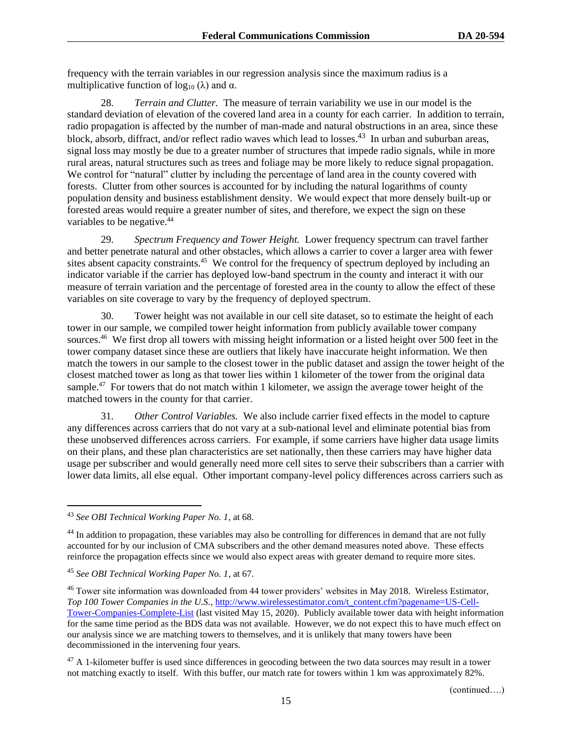frequency with the terrain variables in our regression analysis since the maximum radius is a multiplicative function of  $log_{10} (\lambda)$  and  $\alpha$ .

28. *Terrain and Clutter.* The measure of terrain variability we use in our model is the standard deviation of elevation of the covered land area in a county for each carrier. In addition to terrain, radio propagation is affected by the number of man-made and natural obstructions in an area, since these block, absorb, diffract, and/or reflect radio waves which lead to losses.<sup>43</sup> In urban and suburban areas, signal loss may mostly be due to a greater number of structures that impede radio signals, while in more rural areas, natural structures such as trees and foliage may be more likely to reduce signal propagation. We control for "natural" clutter by including the percentage of land area in the county covered with forests. Clutter from other sources is accounted for by including the natural logarithms of county population density and business establishment density. We would expect that more densely built-up or forested areas would require a greater number of sites, and therefore, we expect the sign on these variables to be negative.<sup>44</sup>

29. *Spectrum Frequency and Tower Height.* Lower frequency spectrum can travel farther and better penetrate natural and other obstacles, which allows a carrier to cover a larger area with fewer sites absent capacity constraints.<sup>45</sup> We control for the frequency of spectrum deployed by including an indicator variable if the carrier has deployed low-band spectrum in the county and interact it with our measure of terrain variation and the percentage of forested area in the county to allow the effect of these variables on site coverage to vary by the frequency of deployed spectrum.

30. Tower height was not available in our cell site dataset, so to estimate the height of each tower in our sample, we compiled tower height information from publicly available tower company sources.<sup>46</sup> We first drop all towers with missing height information or a listed height over 500 feet in the tower company dataset since these are outliers that likely have inaccurate height information. We then match the towers in our sample to the closest tower in the public dataset and assign the tower height of the closest matched tower as long as that tower lies within 1 kilometer of the tower from the original data sample.<sup>47</sup> For towers that do not match within 1 kilometer, we assign the average tower height of the matched towers in the county for that carrier.

31. *Other Control Variables.* We also include carrier fixed effects in the model to capture any differences across carriers that do not vary at a sub-national level and eliminate potential bias from these unobserved differences across carriers. For example, if some carriers have higher data usage limits on their plans, and these plan characteristics are set nationally, then these carriers may have higher data usage per subscriber and would generally need more cell sites to serve their subscribers than a carrier with lower data limits, all else equal. Other important company-level policy differences across carriers such as

<sup>43</sup> *See OBI Technical Working Paper No. 1*, at 68.

 $44$  In addition to propagation, these variables may also be controlling for differences in demand that are not fully accounted for by our inclusion of CMA subscribers and the other demand measures noted above. These effects reinforce the propagation effects since we would also expect areas with greater demand to require more sites.

<sup>45</sup> *See OBI Technical Working Paper No. 1*, at 67.

<sup>&</sup>lt;sup>46</sup> Tower site information was downloaded from 44 tower providers' websites in May 2018. Wireless Estimator, *Top 100 Tower Companies in the U.S.*[, http://www.wirelessestimator.com/t\\_content.cfm?pagename=US-Cell-](http://www.wirelessestimator.com/t_content.cfm?pagename=US-Cell-Tower-Companies-Complete-List)[Tower-Companies-Complete-List](http://www.wirelessestimator.com/t_content.cfm?pagename=US-Cell-Tower-Companies-Complete-List) (last visited May 15, 2020). Publicly available tower data with height information for the same time period as the BDS data was not available. However, we do not expect this to have much effect on our analysis since we are matching towers to themselves, and it is unlikely that many towers have been decommissioned in the intervening four years.

 $47$  A 1-kilometer buffer is used since differences in geocoding between the two data sources may result in a tower not matching exactly to itself. With this buffer, our match rate for towers within 1 km was approximately 82%.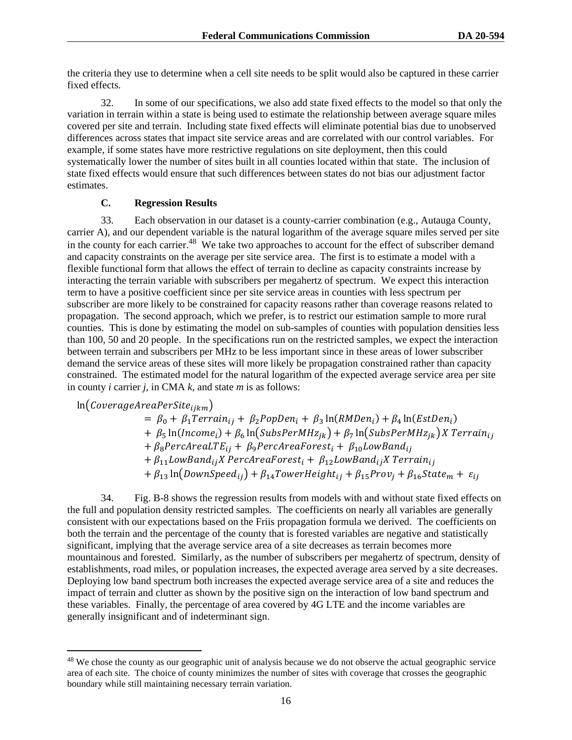the criteria they use to determine when a cell site needs to be split would also be captured in these carrier fixed effects.

32. In some of our specifications, we also add state fixed effects to the model so that only the variation in terrain within a state is being used to estimate the relationship between average square miles covered per site and terrain. Including state fixed effects will eliminate potential bias due to unobserved differences across states that impact site service areas and are correlated with our control variables. For example, if some states have more restrictive regulations on site deployment, then this could systematically lower the number of sites built in all counties located within that state. The inclusion of state fixed effects would ensure that such differences between states do not bias our adjustment factor estimates.

#### **C. Regression Results**

33. Each observation in our dataset is a county-carrier combination (e.g., Autauga County, carrier A), and our dependent variable is the natural logarithm of the average square miles served per site in the county for each carrier.<sup>48</sup> We take two approaches to account for the effect of subscriber demand and capacity constraints on the average per site service area. The first is to estimate a model with a flexible functional form that allows the effect of terrain to decline as capacity constraints increase by interacting the terrain variable with subscribers per megahertz of spectrum. We expect this interaction term to have a positive coefficient since per site service areas in counties with less spectrum per subscriber are more likely to be constrained for capacity reasons rather than coverage reasons related to propagation. The second approach, which we prefer, is to restrict our estimation sample to more rural counties. This is done by estimating the model on sub-samples of counties with population densities less than 100, 50 and 20 people. In the specifications run on the restricted samples, we expect the interaction between terrain and subscribers per MHz to be less important since in these areas of lower subscriber demand the service areas of these sites will more likely be propagation constrained rather than capacity constrained. The estimated model for the natural logarithm of the expected average service area per site in county *i* carrier *j,* in CMA *k,* and state *m* is as follows:

 $ln(CoverageAreaPerSite_{ijkm})$ 

 $= \beta_0 + \beta_1 Terrain_{ij} + \beta_2 PopDen_i + \beta_3 ln(RMDen_i) + \beta_4 ln(EstDen_i)$ +  $\beta_5$  ln(Income<sub>i</sub>) +  $\beta_6$  ln(SubsPerMHz<sub>jk</sub>) +  $\beta_7$  ln(SubsPerMHz<sub>jk</sub>) X Terrain<sub>ij</sub> +  $\beta_8$ PercAreaLTE<sub>ij</sub> +  $\beta_9$ PercAreaForest<sub>i</sub> +  $\beta_{10}$ LowBand<sub>ij</sub>  $+ \beta_{11}$ LowBand<sub>ij</sub>X PercAreaForest<sub>i</sub> +  $\beta_{12}$ LowBand<sub>ij</sub>X Terrain<sub>ij</sub>

 $+ \beta_{13} \ln(DownSpeed_{ij}) + \beta_{14} TowerHeight_{ij} + \beta_{15} Prov_i + \beta_{16} State_m + \varepsilon_{ij}$ 

34. Fig. B-8 shows the regression results from models with and without state fixed effects on the full and population density restricted samples. The coefficients on nearly all variables are generally consistent with our expectations based on the Friis propagation formula we derived. The coefficients on both the terrain and the percentage of the county that is forested variables are negative and statistically significant, implying that the average service area of a site decreases as terrain becomes more mountainous and forested. Similarly, as the number of subscribers per megahertz of spectrum, density of establishments, road miles, or population increases, the expected average area served by a site decreases. Deploying low band spectrum both increases the expected average service area of a site and reduces the impact of terrain and clutter as shown by the positive sign on the interaction of low band spectrum and these variables. Finally, the percentage of area covered by 4G LTE and the income variables are generally insignificant and of indeterminant sign.

<sup>&</sup>lt;sup>48</sup> We chose the county as our geographic unit of analysis because we do not observe the actual geographic service area of each site. The choice of county minimizes the number of sites with coverage that crosses the geographic boundary while still maintaining necessary terrain variation.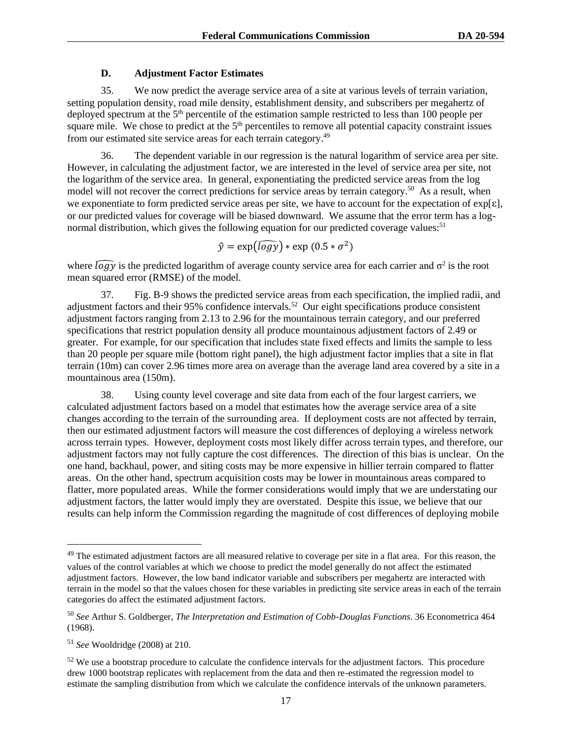## **D. Adjustment Factor Estimates**

35. We now predict the average service area of a site at various levels of terrain variation, setting population density, road mile density, establishment density, and subscribers per megahertz of deployed spectrum at the 5<sup>th</sup> percentile of the estimation sample restricted to less than 100 people per square mile. We chose to predict at the 5<sup>th</sup> percentiles to remove all potential capacity constraint issues from our estimated site service areas for each terrain category.<sup>49</sup>

The dependent variable in our regression is the natural logarithm of service area per site. However, in calculating the adjustment factor, we are interested in the level of service area per site, not the logarithm of the service area. In general, exponentiating the predicted service areas from the log model will not recover the correct predictions for service areas by terrain category.<sup>50</sup> As a result, when we exponentiate to form predicted service areas per site, we have to account for the expectation of exp[ε], or our predicted values for coverage will be biased downward. We assume that the error term has a lognormal distribution, which gives the following equation for our predicted coverage values:<sup>51</sup>

$$
\hat{y} = \exp(\widehat{\log y}) * \exp(0.5 * \sigma^2)
$$

where  $\widehat{logy}$  is the predicted logarithm of average county service area for each carrier and  $\sigma^2$  is the root mean squared error (RMSE) of the model.

37. Fig. B-9 shows the predicted service areas from each specification, the implied radii, and adjustment factors and their 95% confidence intervals.<sup>52</sup> Our eight specifications produce consistent adjustment factors ranging from 2.13 to 2.96 for the mountainous terrain category, and our preferred specifications that restrict population density all produce mountainous adjustment factors of 2.49 or greater. For example, for our specification that includes state fixed effects and limits the sample to less than 20 people per square mile (bottom right panel), the high adjustment factor implies that a site in flat terrain (10m) can cover 2.96 times more area on average than the average land area covered by a site in a mountainous area (150m).

38. Using county level coverage and site data from each of the four largest carriers, we calculated adjustment factors based on a model that estimates how the average service area of a site changes according to the terrain of the surrounding area. If deployment costs are not affected by terrain, then our estimated adjustment factors will measure the cost differences of deploying a wireless network across terrain types. However, deployment costs most likely differ across terrain types, and therefore, our adjustment factors may not fully capture the cost differences. The direction of this bias is unclear. On the one hand, backhaul, power, and siting costs may be more expensive in hillier terrain compared to flatter areas. On the other hand, spectrum acquisition costs may be lower in mountainous areas compared to flatter, more populated areas. While the former considerations would imply that we are understating our adjustment factors, the latter would imply they are overstated. Despite this issue, we believe that our results can help inform the Commission regarding the magnitude of cost differences of deploying mobile

<sup>&</sup>lt;sup>49</sup> The estimated adjustment factors are all measured relative to coverage per site in a flat area. For this reason, the values of the control variables at which we choose to predict the model generally do not affect the estimated adjustment factors. However, the low band indicator variable and subscribers per megahertz are interacted with terrain in the model so that the values chosen for these variables in predicting site service areas in each of the terrain categories do affect the estimated adjustment factors.

<sup>50</sup> *See* Arthur S. Goldberger, *The Interpretation and Estimation of Cobb-Douglas Functions*. 36 Econometrica 464 (1968).

<sup>51</sup> *See* Wooldridge (2008) at 210.

 $52$  We use a bootstrap procedure to calculate the confidence intervals for the adjustment factors. This procedure drew 1000 bootstrap replicates with replacement from the data and then re-estimated the regression model to estimate the sampling distribution from which we calculate the confidence intervals of the unknown parameters.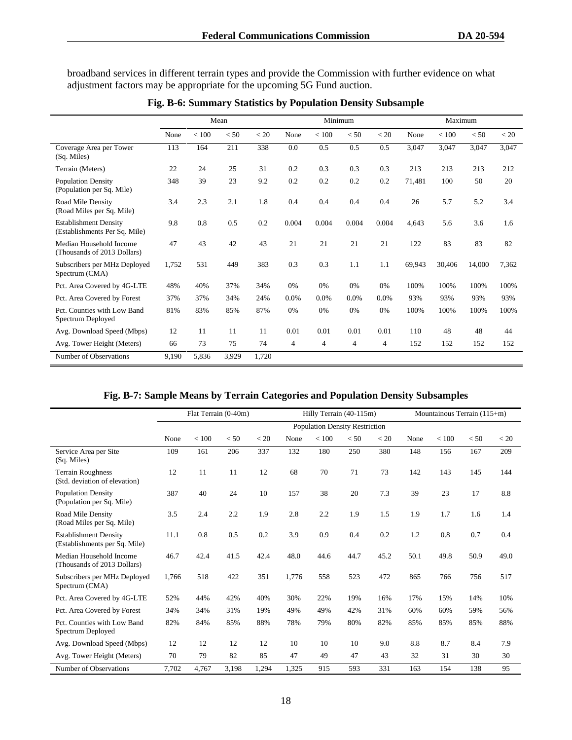broadband services in different terrain types and provide the Commission with further evidence on what adjustment factors may be appropriate for the upcoming 5G Fund auction.

|                                                               |       |       | Mean  |       |                |       | Minimum        |                | Maximum |        |        |       |  |
|---------------------------------------------------------------|-------|-------|-------|-------|----------------|-------|----------------|----------------|---------|--------|--------|-------|--|
|                                                               | None  | < 100 | < 50  | < 20  | None           | < 100 | < 50           | < 20           | None    | < 100  | < 50   | < 20  |  |
| Coverage Area per Tower<br>(Sq. Miles)                        | 113   | 164   | 211   | 338   | 0.0            | 0.5   | 0.5            | 0.5            | 3,047   | 3,047  | 3,047  | 3,047 |  |
| Terrain (Meters)                                              | 22    | 24    | 25    | 31    | 0.2            | 0.3   | 0.3            | 0.3            | 213     | 213    | 213    | 212   |  |
| <b>Population Density</b><br>(Population per Sq. Mile)        | 348   | 39    | 23    | 9.2   | 0.2            | 0.2   | 0.2            | 0.2            | 71,481  | 100    | 50     | 20    |  |
| Road Mile Density<br>(Road Miles per Sq. Mile)                | 3.4   | 2.3   | 2.1   | 1.8   | 0.4            | 0.4   | 0.4            | 0.4            | 26      | 5.7    | 5.2    | 3.4   |  |
| <b>Establishment Density</b><br>(Establishments Per Sq. Mile) | 9.8   | 0.8   | 0.5   | 0.2   | 0.004          | 0.004 | 0.004          | 0.004          | 4,643   | 5.6    | 3.6    | 1.6   |  |
| Median Household Income<br>(Thousands of 2013 Dollars)        | 47    | 43    | 42    | 43    | 21             | 21    | 21             | 21             | 122     | 83     | 83     | 82    |  |
| Subscribers per MHz Deployed<br>Spectrum (CMA)                | 1,752 | 531   | 449   | 383   | 0.3            | 0.3   | 1.1            | 1.1            | 69,943  | 30,406 | 14,000 | 7,362 |  |
| Pct. Area Covered by 4G-LTE                                   | 48%   | 40%   | 37%   | 34%   | 0%             | 0%    | 0%             | 0%             | 100%    | 100%   | 100%   | 100%  |  |
| Pct. Area Covered by Forest                                   | 37%   | 37%   | 34%   | 24%   | 0.0%           | 0.0%  | 0.0%           | 0.0%           | 93%     | 93%    | 93%    | 93%   |  |
| Pct. Counties with Low Band<br>Spectrum Deployed              | 81%   | 83%   | 85%   | 87%   | 0%             | 0%    | 0%             | 0%             | 100%    | 100%   | 100%   | 100%  |  |
| Avg. Download Speed (Mbps)                                    | 12    | 11    | 11    | 11    | 0.01           | 0.01  | 0.01           | 0.01           | 110     | 48     | 48     | 44    |  |
| Avg. Tower Height (Meters)                                    | 66    | 73    | 75    | 74    | $\overline{4}$ | 4     | $\overline{4}$ | $\overline{4}$ | 152     | 152    | 152    | 152   |  |
| Number of Observations                                        | 9.190 | 5,836 | 3,929 | 1.720 |                |       |                |                |         |        |        |       |  |

**Fig. B-6: Summary Statistics by Population Density Subsample**

|  |  |  |  | Fig. B-7: Sample Means by Terrain Categories and Population Density Subsamples |  |  |  |  |  |  |  |
|--|--|--|--|--------------------------------------------------------------------------------|--|--|--|--|--|--|--|
|  |  |  |  |                                                                                |  |  |  |  |  |  |  |

|                                                               |       | Flat Terrain (0-40m) |       |       |       | Hilly Terrain (40-115m)               |      |      | Mountainous Terrain (115+m) |       |      |      |  |
|---------------------------------------------------------------|-------|----------------------|-------|-------|-------|---------------------------------------|------|------|-----------------------------|-------|------|------|--|
|                                                               |       |                      |       |       |       | <b>Population Density Restriction</b> |      |      |                             |       |      |      |  |
|                                                               | None  | $<100$               | < 50  | < 20  | None  | < 100                                 | < 50 | < 20 | None                        | < 100 | < 50 | < 20 |  |
| Service Area per Site<br>(Sq. Miles)                          | 109   | 161                  | 206   | 337   | 132   | 180                                   | 250  | 380  | 148                         | 156   | 167  | 209  |  |
| <b>Terrain Roughness</b><br>(Std. deviation of elevation)     | 12    | 11                   | 11    | 12    | 68    | 70                                    | 71   | 73   | 142                         | 143   | 145  | 144  |  |
| <b>Population Density</b><br>(Population per Sq. Mile)        | 387   | 40                   | 24    | 10    | 157   | 38                                    | 20   | 7.3  | 39                          | 23    | 17   | 8.8  |  |
| Road Mile Density<br>(Road Miles per Sq. Mile)                | 3.5   | 2.4                  | 2.2   | 1.9   | 2.8   | 2.2                                   | 1.9  | 1.5  | 1.9                         | 1.7   | 1.6  | 1.4  |  |
| <b>Establishment Density</b><br>(Establishments per Sq. Mile) | 11.1  | 0.8                  | 0.5   | 0.2   | 3.9   | 0.9                                   | 0.4  | 0.2  | 1.2                         | 0.8   | 0.7  | 0.4  |  |
| Median Household Income<br>(Thousands of 2013 Dollars)        | 46.7  | 42.4                 | 41.5  | 42.4  | 48.0  | 44.6                                  | 44.7 | 45.2 | 50.1                        | 49.8  | 50.9 | 49.0 |  |
| Subscribers per MHz Deployed<br>Spectrum (CMA)                | 1,766 | 518                  | 422   | 351   | 1,776 | 558                                   | 523  | 472  | 865                         | 766   | 756  | 517  |  |
| Pct. Area Covered by 4G-LTE                                   | 52%   | 44%                  | 42%   | 40%   | 30%   | 22%                                   | 19%  | 16%  | 17%                         | 15%   | 14%  | 10%  |  |
| Pct. Area Covered by Forest                                   | 34%   | 34%                  | 31%   | 19%   | 49%   | 49%                                   | 42%  | 31%  | 60%                         | 60%   | 59%  | 56%  |  |
| Pct. Counties with Low Band<br>Spectrum Deployed              | 82%   | 84%                  | 85%   | 88%   | 78%   | 79%                                   | 80%  | 82%  | 85%                         | 85%   | 85%  | 88%  |  |
| Avg. Download Speed (Mbps)                                    | 12    | 12                   | 12    | 12    | 10    | 10                                    | 10   | 9.0  | 8.8                         | 8.7   | 8.4  | 7.9  |  |
| Avg. Tower Height (Meters)                                    | 70    | 79                   | 82    | 85    | 47    | 49                                    | 47   | 43   | 32                          | 31    | 30   | 30   |  |
| Number of Observations                                        | 7,702 | 4.767                | 3,198 | 1.294 | 1,325 | 915                                   | 593  | 331  | 163                         | 154   | 138  | 95   |  |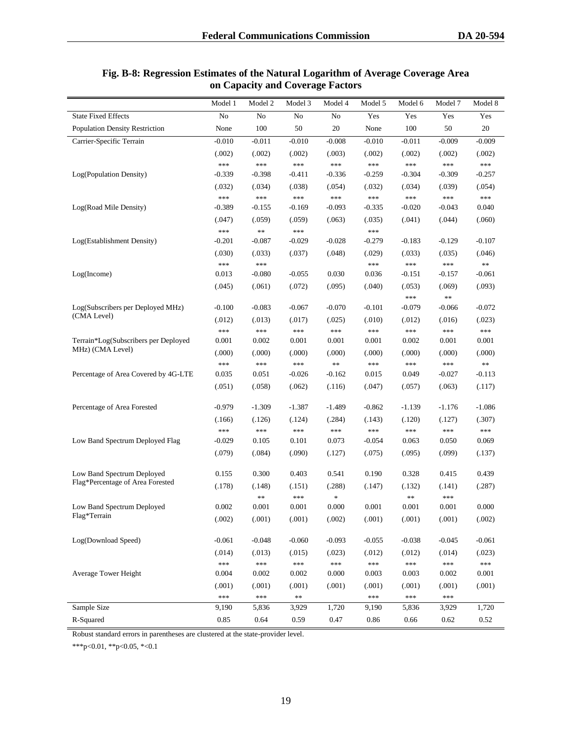|                                       | Model 1         | Model 2        | Model 3         | Model 4         | Model 5        | Model 6         | Model 7         | Model 8                 |
|---------------------------------------|-----------------|----------------|-----------------|-----------------|----------------|-----------------|-----------------|-------------------------|
| <b>State Fixed Effects</b>            | N <sub>o</sub>  | No             | $\rm No$        | $\rm No$        | Yes            | Yes             | Yes             | Yes                     |
| <b>Population Density Restriction</b> | None            | 100            | 50              | 20              | None           | 100             | 50              | 20                      |
| Carrier-Specific Terrain              | $-0.010$        | $-0.011$       | $-0.010$        | $-0.008$        | $-0.010$       | $-0.011$        | $-0.009$        | $-0.009$                |
|                                       | (.002)          | (.002)         | (.002)          | (.003)          | (.002)         | (.002)          | (.002)          | (.002)                  |
|                                       | ***             | $***$          | $***$           | $***$           | $***$          | ***             | ***             | $\ast\ast\ast$          |
| Log(Population Density)               | $-0.339$        | $-0.398$       | $-0.411$        | $-0.336$        | $-0.259$       | $-0.304$        | $-0.309$        | $-0.257$                |
|                                       | (.032)          | (.034)         | (.038)          | (.054)          | (.032)         | (.034)          | (.039)          | (.054)                  |
|                                       | ***             | ***            | $***$           | $***$           | $***$          | $***$           | $***$           | $***$                   |
| Log(Road Mile Density)                | $-0.389$        | $-0.155$       | $-0.169$        | $-0.093$        | $-0.335$       | $-0.020$        | $-0.043$        | 0.040                   |
|                                       | (.047)          | (.059)         | (.059)          | (.063)          | (.035)         | (.041)          | (.044)          | (.060)                  |
|                                       | ***             | $\ast\ast$     | $***$           |                 | $***$          |                 |                 |                         |
| Log(Establishment Density)            | $-0.201$        | $-0.087$       | $-0.029$        | $-0.028$        | $-0.279$       | $-0.183$        | $-0.129$        | $-0.107$                |
|                                       | (.030)          | (.033)         | (.037)          | (.048)          | (.029)         | (.033)          | (.035)          | (.046)                  |
|                                       | ***             | ***            |                 |                 | ***            | $***$           | ***             | $\ast\ast$              |
| Log(Income)                           | 0.013           | $-0.080$       | $-0.055$        | 0.030           | 0.036          | $-0.151$        | $-0.157$        | $-0.061$                |
|                                       | (.045)          | (.061)         | (.072)          | (.095)          | (.040)         | (.053)          | (.069)          | (.093)                  |
| Log(Subscribers per Deployed MHz)     | $-0.100$        | $-0.083$       | $-0.067$        | $-0.070$        | $-0.101$       | ***<br>$-0.079$ | **<br>$-0.066$  | $-0.072$                |
| (CMA Level)                           |                 |                |                 |                 |                |                 |                 |                         |
|                                       | (.012)<br>$***$ | (.013)<br>***  | (.017)<br>$***$ | (.025)<br>$***$ | (.010)<br>***  | (.012)<br>$***$ | (.016)<br>$***$ | (.023)<br>$***$         |
| Terrain*Log(Subscribers per Deployed  | 0.001           | 0.002          | 0.001           | 0.001           | 0.001          | 0.002           | 0.001           | 0.001                   |
| MHz) (CMA Level)                      | (.000)          | (.000)         | (.000)          | (.000)          | (.000)         | (.000)          | (.000)          | (.000)                  |
|                                       | ***             | $***$          | $***$           | $\ast\ast$      | $***$          | ***             | ***             | $\ast\ast$              |
| Percentage of Area Covered by 4G-LTE  | 0.035           | 0.051          | $-0.026$        | $-0.162$        | 0.015          | 0.049           | $-0.027$        | $-0.113$                |
|                                       | (.051)          | (.058)         | (.062)          | (.116)          | (.047)         | (.057)          | (.063)          | (.117)                  |
|                                       |                 |                |                 |                 |                |                 |                 |                         |
| Percentage of Area Forested           | $-0.979$        | $-1.309$       | $-1.387$        | $-1.489$        | $-0.862$       | $-1.139$        | $-1.176$        | $-1.086$                |
|                                       | (.166)          | (.126)         | (.124)          | (.284)          | (.143)         | (.120)          | (.127)          | (.307)                  |
|                                       | ***             | $***$          | $***$           | ***             | ***            | ***             | $***$           | $\ast\ast\ast$          |
| Low Band Spectrum Deployed Flag       | $-0.029$        | 0.105          | 0.101           | 0.073           | $-0.054$       | 0.063           | 0.050           | 0.069                   |
|                                       | (.079)          | (.084)         | (.090)          | (.127)          | (.075)         | (.095)          | (.099)          | (.137)                  |
| Low Band Spectrum Deployed            | 0.155           | 0.300          | 0.403           | 0.541           | 0.190          | 0.328           | 0.415           | 0.439                   |
| Flag*Percentage of Area Forested      | (.178)          | (.148)         | (.151)          | (.288)          | (.147)         | (.132)          | (.141)          | (.287)                  |
|                                       |                 | $\ast\ast$     | $***$           | *               |                | $\ast$          | ***             |                         |
| Low Band Spectrum Deployed            | 0.002           | 0.001          | 0.001           | 0.000           | 0.001          | 0.001           | 0.001           | 0.000                   |
| Flag*Terrain                          | (.002)          | (.001)         | (.001)          | (.002)          | (.001)         | (.001)          | (.001)          | (.002)                  |
|                                       |                 |                |                 |                 |                |                 |                 |                         |
| Log(Download Speed)                   | $-0.061$        | $-0.048$       | $-0.060$        | $-0.093$        | $-0.055$       | $-0.038$        | $-0.045$        | $-0.061$                |
|                                       | (.014)          | (.013)         | (.015)          | (.023)          | (.012)         | (.012)          | (.014)          | (.023)                  |
| Average Tower Height                  | ***<br>0.004    | $***$<br>0.002 | $***$<br>0.002  | $***$<br>0.000  | $***$<br>0.003 | ***<br>0.003    | $***$<br>0.002  | $\ast\ast\ast$<br>0.001 |
|                                       |                 |                |                 |                 |                |                 |                 |                         |
|                                       | (.001)          | (.001)         | (.001)          | (.001)          | (.001)         | (.001)          | (.001)          | (.001)                  |
| Sample Size                           | ***<br>9,190    | $***$<br>5,836 | **<br>3,929     | 1,720           | $***$<br>9,190 | $***$<br>5,836  | $***$<br>3,929  | 1,720                   |
|                                       |                 |                |                 |                 |                |                 |                 |                         |
| R-Squared                             | 0.85            | 0.64           | 0.59            | $0.47\,$        | 0.86           | 0.66            | 0.62            | 0.52                    |

# **Fig. B-8: Regression Estimates of the Natural Logarithm of Average Coverage Area on Capacity and Coverage Factors**

Robust standard errors in parentheses are clustered at the state-provider level.

\*\*\*p<0.01, \*\*p<0.05, \*<0.1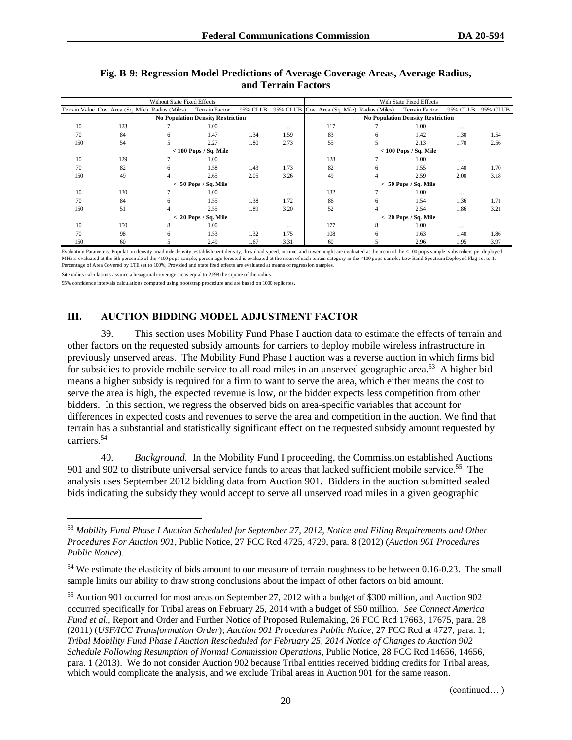|     |                                                   | Without State Fixed Effects |                                          |           | With State Fixed Effects |                                               |         |                                          |           |           |  |
|-----|---------------------------------------------------|-----------------------------|------------------------------------------|-----------|--------------------------|-----------------------------------------------|---------|------------------------------------------|-----------|-----------|--|
|     | Terrain Value Cov. Area (Sq. Mile) Radius (Miles) |                             | Terrain Factor                           | 95% CI LB |                          | 95% CI UB Cov. Area (Sq. Mile) Radius (Miles) |         | <b>Terrain Factor</b>                    | 95% CI LB | 95% CI UB |  |
|     |                                                   |                             | <b>No Population Density Restriction</b> |           |                          |                                               |         | <b>No Population Density Restriction</b> |           |           |  |
| 10  | 123                                               |                             | 1.00                                     | $\cdots$  | $\cdots$                 | 117                                           |         | 1.00                                     | $\cdots$  | $\cdots$  |  |
| 70  | 84                                                | h.                          | 1.47                                     | 1.34      | 1.59                     | 83                                            | 6       | 1.42                                     | 1.30      | 1.54      |  |
| 150 | 54                                                |                             | 2.27                                     | 1.80      | 2.73                     | 55                                            |         | 2.13                                     | 1.70      | 2.56      |  |
|     |                                                   |                             | $< 100$ Pops / Sq. Mile                  |           |                          |                                               |         | $< 100$ Pops / Sq. Mile                  |           |           |  |
| 10  | 129                                               |                             | 1.00                                     | $\cdots$  | $\cdots$                 | 128                                           |         | 1.00                                     | $\cdots$  | .         |  |
| 70  | 82                                                | 6                           | 1.58                                     | 1.43      | 1.73                     | 82                                            | 6       | 1.55                                     | 1.40      | 1.70      |  |
| 150 | 49                                                |                             | 2.65                                     | 2.05      | 3.26                     | 49                                            |         | 2.59                                     | 2.00      | 3.18      |  |
|     |                                                   |                             | $< 50$ Pops / Sq. Mile                   |           |                          |                                               | $\,<\,$ | 50 Pops / Sq. Mile                       |           |           |  |
| 10  | 130                                               |                             | 1.00                                     | $\cdots$  | $\cdots$                 | 132                                           |         | 1.00                                     | $\cdots$  | $\cdots$  |  |
| 70  | 84                                                | 6                           | 1.55                                     | 1.38      | 1.72                     | 86                                            | 6       | 1.54                                     | 1.36      | 1.71      |  |
| 150 | 51                                                |                             | 2.55                                     | 1.89      | 3.20                     | 52                                            | 4       | 2.54                                     | 1.86      | 3.21      |  |
|     |                                                   |                             | $< 20$ Pops / Sq. Mile                   |           |                          |                                               |         | $< 20$ Pops / Sq. Mile                   |           |           |  |
| 10  | 150                                               | 8                           | 1.00                                     | $\cdots$  | $\cdots$                 | 177                                           | 8       | 1.00                                     | $\cdots$  | $\cdots$  |  |
| 70  | 98                                                | 6                           | 1.53                                     | 1.32      | 1.75                     | 108                                           | 6       | 1.63                                     | 1.40      | 1.86      |  |
| 150 | 60                                                |                             | 2.49                                     | 1.67      | 3.31                     | 60                                            |         | 2.96                                     | 1.95      | 3.97      |  |

#### **Fig. B-9: Regression Model Predictions of Average Coverage Areas, Average Radius, and Terrain Factors**

Evaluation Parameters: Population density, road mile density, establishment density, download speed, income, and tower height are evaluated at the mean of the < 100 pops sample; subscribers per deployed MHz is evaluated at the 5th percentile of the <100 pops sample; percentage forested is evaluated at the mean of each terrain category in the <100 pops sample; Low Band Spectrum Deployed Flag set to 1; Percentage of Area Covered by LTE set to 100%; Provided and state fixed effects are evaluated at means of regression samples.

Site radius calculations assume a hexagonal coverage areas equal to 2.598 the square of the radius.

95% confidence intervals calculations computed using bootstrap procedure and are based on 1000 replicates.

# **III. AUCTION BIDDING MODEL ADJUSTMENT FACTOR**

39. This section uses Mobility Fund Phase I auction data to estimate the effects of terrain and other factors on the requested subsidy amounts for carriers to deploy mobile wireless infrastructure in previously unserved areas. The Mobility Fund Phase I auction was a reverse auction in which firms bid for subsidies to provide mobile service to all road miles in an unserved geographic area.<sup>53</sup> A higher bid means a higher subsidy is required for a firm to want to serve the area, which either means the cost to serve the area is high, the expected revenue is low, or the bidder expects less competition from other bidders. In this section, we regress the observed bids on area-specific variables that account for differences in expected costs and revenues to serve the area and competition in the auction. We find that terrain has a substantial and statistically significant effect on the requested subsidy amount requested by carriers.<sup>54</sup>

40. *Background.* In the Mobility Fund I proceeding, the Commission established Auctions 901 and 902 to distribute universal service funds to areas that lacked sufficient mobile service.<sup>55</sup> The analysis uses September 2012 bidding data from Auction 901. Bidders in the auction submitted sealed bids indicating the subsidy they would accept to serve all unserved road miles in a given geographic

<sup>53</sup> *Mobility Fund Phase I Auction Scheduled for September 27, 2012, Notice and Filing Requirements and Other Procedures For Auction 901*, Public Notice, 27 FCC Rcd 4725, 4729, para. 8 (2012) (*Auction 901 Procedures Public Notice*).

<sup>54</sup> We estimate the elasticity of bids amount to our measure of terrain roughness to be between 0.16-0.23. The small sample limits our ability to draw strong conclusions about the impact of other factors on bid amount.

<sup>55</sup> Auction 901 occurred for most areas on September 27, 2012 with a budget of \$300 million, and Auction 902 occurred specifically for Tribal areas on February 25, 2014 with a budget of \$50 million. *See Connect America Fund et al.*, Report and Order and Further Notice of Proposed Rulemaking, 26 FCC Rcd 17663, 17675, para. 28 (2011) (*USF/ICC Transformation Order*); *Auction 901 Procedures Public Notice*, 27 FCC Rcd at 4727, para. 1; *Tribal Mobility Fund Phase I Auction Rescheduled for February 25, 2014 Notice of Changes to Auction 902 Schedule Following Resumption of Normal Commission Operations*, Public Notice, 28 FCC Rcd 14656, 14656, para. 1 (2013). We do not consider Auction 902 because Tribal entities received bidding credits for Tribal areas, which would complicate the analysis, and we exclude Tribal areas in Auction 901 for the same reason.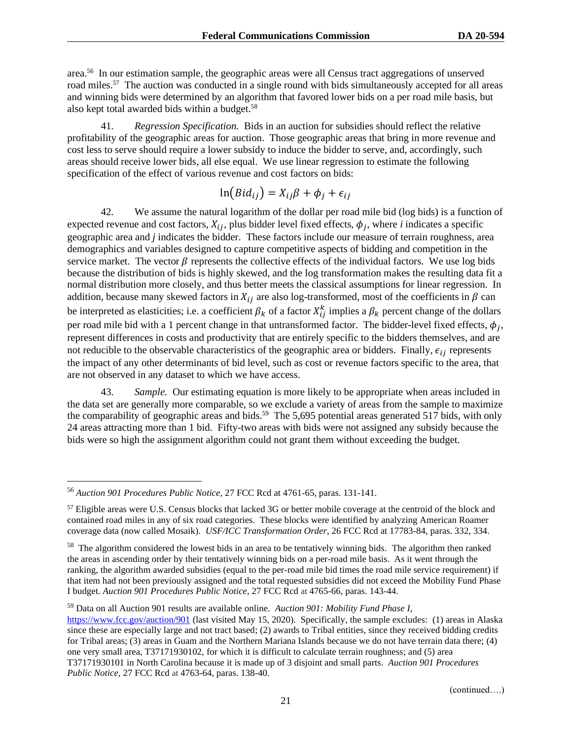area.<sup>56</sup> In our estimation sample, the geographic areas were all Census tract aggregations of unserved road miles.<sup>57</sup> The auction was conducted in a single round with bids simultaneously accepted for all areas and winning bids were determined by an algorithm that favored lower bids on a per road mile basis, but also kept total awarded bids within a budget.<sup>58</sup>

41. *Regression Specification.* Bids in an auction for subsidies should reflect the relative profitability of the geographic areas for auction. Those geographic areas that bring in more revenue and cost less to serve should require a lower subsidy to induce the bidder to serve, and, accordingly, such areas should receive lower bids, all else equal. We use linear regression to estimate the following specification of the effect of various revenue and cost factors on bids:

$$
\ln(Bid_{ij}) = X_{ij}\beta + \phi_j + \epsilon_{ij}
$$

42. We assume the natural logarithm of the dollar per road mile bid (log bids) is a function of expected revenue and cost factors,  $X_{ij}$ , plus bidder level fixed effects,  $\phi_j$ , where *i* indicates a specific geographic area and *j* indicates the bidder. These factors include our measure of terrain roughness, area demographics and variables designed to capture competitive aspects of bidding and competition in the service market. The vector  $\beta$  represents the collective effects of the individual factors. We use log bids because the distribution of bids is highly skewed, and the log transformation makes the resulting data fit a normal distribution more closely, and thus better meets the classical assumptions for linear regression. In addition, because many skewed factors in  $X_{ij}$  are also log-transformed, most of the coefficients in  $\beta$  can be interpreted as elasticities; i.e. a coefficient  $\beta_k$  of a factor  $X_{ij}^k$  implies a  $\beta_k$  percent change of the dollars per road mile bid with a 1 percent change in that untransformed factor. The bidder-level fixed effects,  $\phi_j$ , represent differences in costs and productivity that are entirely specific to the bidders themselves, and are not reducible to the observable characteristics of the geographic area or bidders. Finally,  $\epsilon_{ij}$  represents the impact of any other determinants of bid level, such as cost or revenue factors specific to the area, that are not observed in any dataset to which we have access.

43. *Sample.* Our estimating equation is more likely to be appropriate when areas included in the data set are generally more comparable, so we exclude a variety of areas from the sample to maximize the comparability of geographic areas and bids.<sup>59</sup> The 5,695 potential areas generated 517 bids, with only 24 areas attracting more than 1 bid. Fifty-two areas with bids were not assigned any subsidy because the bids were so high the assignment algorithm could not grant them without exceeding the budget.

<sup>56</sup> *Auction 901 Procedures Public Notice*, 27 FCC Rcd at 4761-65, paras. 131-141.

<sup>&</sup>lt;sup>57</sup> Eligible areas were U.S. Census blocks that lacked 3G or better mobile coverage at the centroid of the block and contained road miles in any of six road categories. These blocks were identified by analyzing American Roamer coverage data (now called Mosaik). *USF/ICC Transformation Order*, 26 FCC Rcd at 17783-84, paras. 332, 334.

 $58$  The algorithm considered the lowest bids in an area to be tentatively winning bids. The algorithm then ranked the areas in ascending order by their tentatively winning bids on a per-road mile basis. As it went through the ranking, the algorithm awarded subsidies (equal to the per-road mile bid times the road mile service requirement) if that item had not been previously assigned and the total requested subsidies did not exceed the Mobility Fund Phase I budget. *Auction 901 Procedures Public Notice*, 27 FCC Rcd at 4765-66, paras. 143-44.

<sup>59</sup> Data on all Auction 901 results are available online. *Auction 901: Mobility Fund Phase I*,

<https://www.fcc.gov/auction/901> (last visited May 15, 2020). Specifically, the sample excludes: (1) areas in Alaska since these are especially large and not tract based; (2) awards to Tribal entities, since they received bidding credits for Tribal areas; (3) areas in Guam and the Northern Mariana Islands because we do not have terrain data there; (4) one very small area, T37171930102, for which it is difficult to calculate terrain roughness; and (5) area T37171930101 in North Carolina because it is made up of 3 disjoint and small parts. *Auction 901 Procedures Public Notice,* 27 FCC Rcd at 4763-64, paras. 138-40.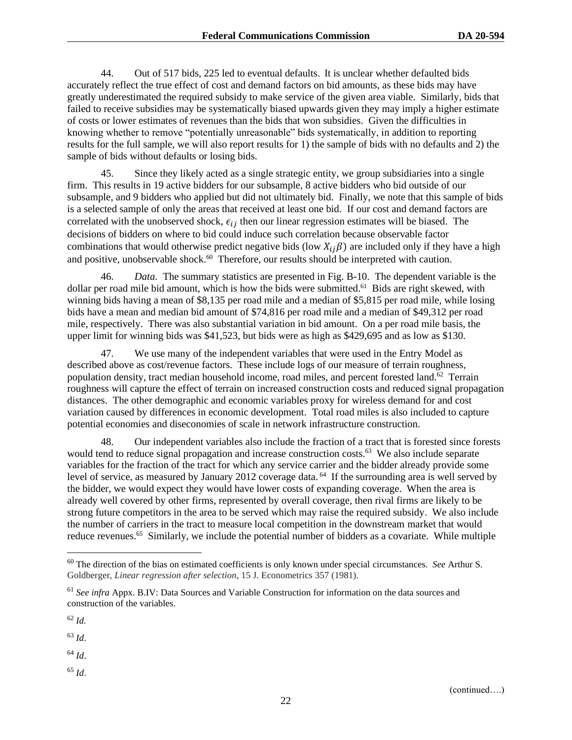44. Out of 517 bids, 225 led to eventual defaults. It is unclear whether defaulted bids accurately reflect the true effect of cost and demand factors on bid amounts, as these bids may have greatly underestimated the required subsidy to make service of the given area viable. Similarly, bids that failed to receive subsidies may be systematically biased upwards given they may imply a higher estimate of costs or lower estimates of revenues than the bids that won subsidies. Given the difficulties in knowing whether to remove "potentially unreasonable" bids systematically, in addition to reporting results for the full sample, we will also report results for 1) the sample of bids with no defaults and 2) the sample of bids without defaults or losing bids.

45. Since they likely acted as a single strategic entity, we group subsidiaries into a single firm. This results in 19 active bidders for our subsample, 8 active bidders who bid outside of our subsample, and 9 bidders who applied but did not ultimately bid. Finally, we note that this sample of bids is a selected sample of only the areas that received at least one bid. If our cost and demand factors are correlated with the unobserved shock,  $\epsilon_{ij}$  then our linear regression estimates will be biased. The decisions of bidders on where to bid could induce such correlation because observable factor combinations that would otherwise predict negative bids (low  $X_{ij}\beta$ ) are included only if they have a high and positive, unobservable shock.<sup>60</sup> Therefore, our results should be interpreted with caution.

46. *Data.* The summary statistics are presented in Fig. B-10. The dependent variable is the dollar per road mile bid amount, which is how the bids were submitted.<sup>61</sup> Bids are right skewed, with winning bids having a mean of \$8,135 per road mile and a median of \$5,815 per road mile, while losing bids have a mean and median bid amount of \$74,816 per road mile and a median of \$49,312 per road mile, respectively. There was also substantial variation in bid amount. On a per road mile basis, the upper limit for winning bids was \$41,523, but bids were as high as \$429,695 and as low as \$130.

47. We use many of the independent variables that were used in the Entry Model as described above as cost/revenue factors. These include logs of our measure of terrain roughness, population density, tract median household income, road miles, and percent forested land.<sup> $62$ </sup> Terrain roughness will capture the effect of terrain on increased construction costs and reduced signal propagation distances. The other demographic and economic variables proxy for wireless demand for and cost variation caused by differences in economic development. Total road miles is also included to capture potential economies and diseconomies of scale in network infrastructure construction.

48. Our independent variables also include the fraction of a tract that is forested since forests would tend to reduce signal propagation and increase construction costs.<sup>63</sup> We also include separate variables for the fraction of the tract for which any service carrier and the bidder already provide some level of service, as measured by January 2012 coverage data. <sup>64</sup> If the surrounding area is well served by the bidder, we would expect they would have lower costs of expanding coverage. When the area is already well covered by other firms, represented by overall coverage, then rival firms are likely to be strong future competitors in the area to be served which may raise the required subsidy. We also include the number of carriers in the tract to measure local competition in the downstream market that would reduce revenues.<sup>65</sup> Similarly, we include the potential number of bidders as a covariate. While multiple

<sup>63</sup> *Id*.

<sup>64</sup> *Id*.

<sup>65</sup> *Id*.

<sup>60</sup> The direction of the bias on estimated coefficients is only known under special circumstances. *See* Arthur S. Goldberger, *Linear regression after selection*, 15 J. Econometrics 357 (1981).

<sup>61</sup> *See infra* Appx. B.IV: Data Sources and Variable Construction for information on the data sources and construction of the variables.

<sup>62</sup> *Id.*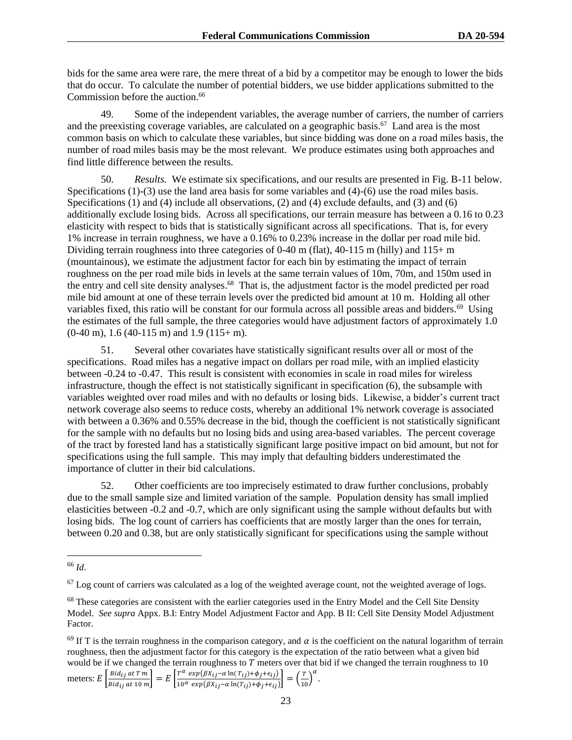bids for the same area were rare, the mere threat of a bid by a competitor may be enough to lower the bids that do occur. To calculate the number of potential bidders, we use bidder applications submitted to the Commission before the auction.<sup>66</sup>

49. Some of the independent variables, the average number of carriers, the number of carriers and the preexisting coverage variables, are calculated on a geographic basis.<sup>67</sup> Land area is the most common basis on which to calculate these variables, but since bidding was done on a road miles basis, the number of road miles basis may be the most relevant. We produce estimates using both approaches and find little difference between the results.

50. *Results.* We estimate six specifications, and our results are presented in Fig. B-11 below. Specifications (1)-(3) use the land area basis for some variables and (4)-(6) use the road miles basis. Specifications (1) and (4) include all observations, (2) and (4) exclude defaults, and (3) and (6) additionally exclude losing bids. Across all specifications, our terrain measure has between a 0.16 to 0.23 elasticity with respect to bids that is statistically significant across all specifications. That is, for every 1% increase in terrain roughness, we have a 0.16% to 0.23% increase in the dollar per road mile bid. Dividing terrain roughness into three categories of 0-40 m (flat), 40-115 m (hilly) and  $115+m$ (mountainous), we estimate the adjustment factor for each bin by estimating the impact of terrain roughness on the per road mile bids in levels at the same terrain values of 10m, 70m, and 150m used in the entry and cell site density analyses.<sup>68</sup> That is, the adjustment factor is the model predicted per road mile bid amount at one of these terrain levels over the predicted bid amount at 10 m. Holding all other variables fixed, this ratio will be constant for our formula across all possible areas and bidders.<sup>69</sup> Using the estimates of the full sample, the three categories would have adjustment factors of approximately 1.0  $(0-40 \text{ m})$ , 1.6 (40-115 m) and 1.9 (115+ m).

51. Several other covariates have statistically significant results over all or most of the specifications. Road miles has a negative impact on dollars per road mile, with an implied elasticity between -0.24 to -0.47. This result is consistent with economies in scale in road miles for wireless infrastructure, though the effect is not statistically significant in specification (6), the subsample with variables weighted over road miles and with no defaults or losing bids. Likewise, a bidder's current tract network coverage also seems to reduce costs, whereby an additional 1% network coverage is associated with between a 0.36% and 0.55% decrease in the bid, though the coefficient is not statistically significant for the sample with no defaults but no losing bids and using area-based variables. The percent coverage of the tract by forested land has a statistically significant large positive impact on bid amount, but not for specifications using the full sample. This may imply that defaulting bidders underestimated the importance of clutter in their bid calculations.

52. Other coefficients are too imprecisely estimated to draw further conclusions, probably due to the small sample size and limited variation of the sample. Population density has small implied elasticities between -0.2 and -0.7, which are only significant using the sample without defaults but with losing bids. The log count of carriers has coefficients that are mostly larger than the ones for terrain, between 0.20 and 0.38, but are only statistically significant for specifications using the sample without

<sup>69</sup> If T is the terrain roughness in the comparison category, and  $\alpha$  is the coefficient on the natural logarithm of terrain roughness, then the adjustment factor for this category is the expectation of the ratio between what a given bid would be if we changed the terrain roughness to  $T$  meters over that bid if we changed the terrain roughness to  $10$ 

```
meters: E\left[\frac{Bid_{ij}atTm}{Bid_{ij}tA} \right]\left[\frac{Bid_{ij}at\,T\,m}{Bid_{ij}\,at\,10\,m}\right] = E\left[\frac{T^{\alpha}\,\exp\left(\beta X_{ij}-\alpha\ln(T_{ij})+\phi_j+\epsilon_{ij}\right)}{10^{\alpha}\,\exp\left(\beta X_{ij}-\alpha\ln(T_{ij})+\phi_j+\epsilon_{ij}\right)}\right]\frac{T^{\alpha} \exp(\beta X_{ij} - \alpha \ln(T_{ij}) + \phi_j + \epsilon_{ij})}{10^{\alpha} \exp(\beta X_{ij} - \alpha \ln(T_{ij}) + \phi_j + \epsilon_{ij})} = \left(\frac{T}{10}\right)^{\alpha}.
```
<sup>66</sup> *Id*.

 $67$  Log count of carriers was calculated as a log of the weighted average count, not the weighted average of logs.

<sup>&</sup>lt;sup>68</sup> These categories are consistent with the earlier categories used in the Entry Model and the Cell Site Density Model. *See supra* Appx. B.I: Entry Model Adjustment Factor and App. B II: Cell Site Density Model Adjustment Factor.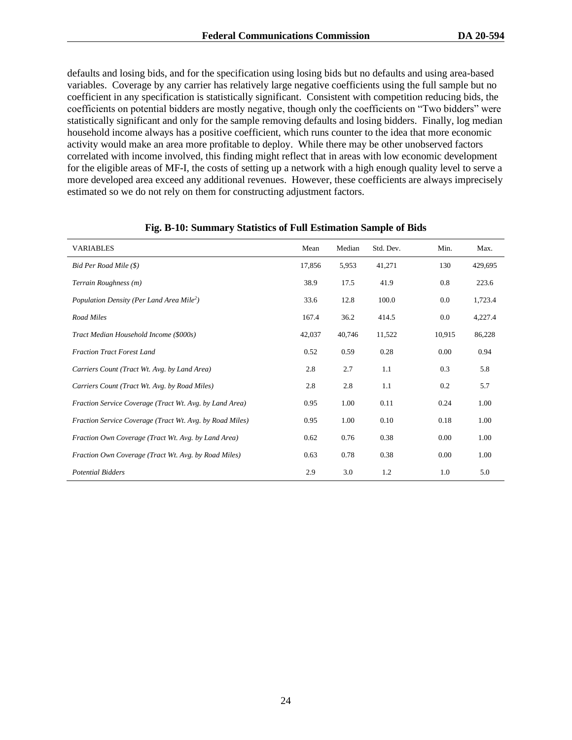defaults and losing bids, and for the specification using losing bids but no defaults and using area-based variables. Coverage by any carrier has relatively large negative coefficients using the full sample but no coefficient in any specification is statistically significant. Consistent with competition reducing bids, the coefficients on potential bidders are mostly negative, though only the coefficients on "Two bidders" were statistically significant and only for the sample removing defaults and losing bidders. Finally, log median household income always has a positive coefficient, which runs counter to the idea that more economic activity would make an area more profitable to deploy. While there may be other unobserved factors correlated with income involved, this finding might reflect that in areas with low economic development for the eligible areas of MF-I, the costs of setting up a network with a high enough quality level to serve a more developed area exceed any additional revenues. However, these coefficients are always imprecisely estimated so we do not rely on them for constructing adjustment factors.

| <b>VARIABLES</b>                                         | Mean   | Median | Std. Dev. | Min.   | Max.    |
|----------------------------------------------------------|--------|--------|-----------|--------|---------|
| Bid Per Road Mile (\$)                                   | 17.856 | 5,953  | 41,271    | 130    | 429,695 |
| Terrain Roughness (m)                                    | 38.9   | 17.5   | 41.9      | 0.8    | 223.6   |
| Population Density (Per Land Area Mile <sup>2</sup> )    | 33.6   | 12.8   | 100.0     | 0.0    | 1,723.4 |
| Road Miles                                               | 167.4  | 36.2   | 414.5     | 0.0    | 4,227.4 |
| Tract Median Household Income (\$000s)                   | 42,037 | 40,746 | 11,522    | 10,915 | 86,228  |
| <b>Fraction Tract Forest Land</b>                        | 0.52   | 0.59   | 0.28      | 0.00   | 0.94    |
| Carriers Count (Tract Wt. Avg. by Land Area)             | 2.8    | 2.7    | 1.1       | 0.3    | 5.8     |
| Carriers Count (Tract Wt. Avg. by Road Miles)            | 2.8    | 2.8    | 1.1       | 0.2    | 5.7     |
| Fraction Service Coverage (Tract Wt. Avg. by Land Area)  | 0.95   | 1.00   | 0.11      | 0.24   | 1.00    |
| Fraction Service Coverage (Tract Wt. Avg. by Road Miles) | 0.95   | 1.00   | 0.10      | 0.18   | 1.00    |
| Fraction Own Coverage (Tract Wt. Avg. by Land Area)      | 0.62   | 0.76   | 0.38      | 0.00   | 1.00    |
| Fraction Own Coverage (Tract Wt. Avg. by Road Miles)     | 0.63   | 0.78   | 0.38      | 0.00   | 1.00    |
| <b>Potential Bidders</b>                                 | 2.9    | 3.0    | 1.2       | 1.0    | 5.0     |

#### **Fig. B-10: Summary Statistics of Full Estimation Sample of Bids**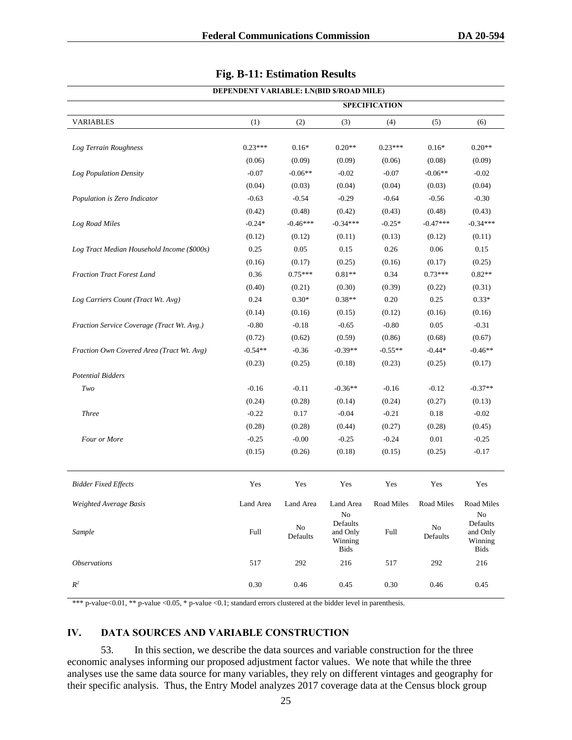| DEPENDENT VARIABLE: LN(BID \$/ROAD MILE)   |                      |                |                                                     |            |                      |                                                      |
|--------------------------------------------|----------------------|----------------|-----------------------------------------------------|------------|----------------------|------------------------------------------------------|
|                                            | <b>SPECIFICATION</b> |                |                                                     |            |                      |                                                      |
| <b>VARIABLES</b>                           | (1)                  | (2)            | (3)                                                 | (4)        | (5)                  | (6)                                                  |
|                                            |                      |                |                                                     |            |                      |                                                      |
| Log Terrain Roughness                      | $0.23***$            | $0.16*$        | $0.20**$                                            | $0.23***$  | $0.16*$              | $0.20**$                                             |
|                                            | (0.06)               | (0.09)         | (0.09)                                              | (0.06)     | (0.08)               | (0.09)                                               |
| Log Population Density                     | $-0.07$              | $-0.06**$      | $-0.02$                                             | $-0.07$    | $-0.06**$            | $-0.02$                                              |
|                                            | (0.04)               | (0.03)         | (0.04)                                              | (0.04)     | (0.03)               | (0.04)                                               |
| Population is Zero Indicator               | $-0.63$              | $-0.54$        | $-0.29$                                             | $-0.64$    | $-0.56$              | $-0.30$                                              |
|                                            | (0.42)               | (0.48)         | (0.42)                                              | (0.43)     | (0.48)               | (0.43)                                               |
| Log Road Miles                             | $-0.24*$             | $-0.46***$     | $-0.34***$                                          | $-0.25*$   | $-0.47***$           | $-0.34***$                                           |
|                                            | (0.12)               | (0.12)         | (0.11)                                              | (0.13)     | (0.12)               | (0.11)                                               |
| Log Tract Median Household Income (\$000s) | 0.25                 | 0.05           | 0.15                                                | 0.26       | 0.06                 | 0.15                                                 |
|                                            | (0.16)               | (0.17)         | (0.25)                                              | (0.16)     | (0.17)               | (0.25)                                               |
| Fraction Tract Forest Land                 | 0.36                 | $0.75***$      | $0.81**$                                            | 0.34       | $0.73***$            | $0.82**$                                             |
|                                            | (0.40)               | (0.21)         | (0.30)                                              | (0.39)     | (0.22)               | (0.31)                                               |
| Log Carriers Count (Tract Wt. Avg)         | 0.24                 | $0.30*$        | $0.38**$                                            | 0.20       | 0.25                 | $0.33*$                                              |
|                                            | (0.14)               | (0.16)         | (0.15)                                              | (0.12)     | (0.16)               | (0.16)                                               |
| Fraction Service Coverage (Tract Wt. Avg.) | $-0.80$              | $-0.18$        | $-0.65$                                             | $-0.80$    | 0.05                 | $-0.31$                                              |
|                                            | (0.72)               | (0.62)         | (0.59)                                              | (0.86)     | (0.68)               | (0.67)                                               |
| Fraction Own Covered Area (Tract Wt. Avg)  | $-0.54**$            | $-0.36$        | $-0.39**$                                           | $-0.55**$  | $-0.44*$             | $-0.46**$                                            |
|                                            | (0.23)               | (0.25)         | (0.18)                                              | (0.23)     | (0.25)               | (0.17)                                               |
| <b>Potential Bidders</b>                   |                      |                |                                                     |            |                      |                                                      |
| $Two$                                      | $-0.16$              | $-0.11$        | $-0.36**$                                           | $-0.16$    | $-0.12$              | $-0.37**$                                            |
|                                            | (0.24)               | (0.28)         | (0.14)                                              | (0.24)     | (0.27)               | (0.13)                                               |
| <b>Three</b>                               | $-0.22$              | 0.17           | $-0.04$                                             | $-0.21$    | 0.18                 | $-0.02$                                              |
|                                            | (0.28)               | (0.28)         | (0.44)                                              | (0.27)     | (0.28)               | (0.45)                                               |
| Four or More                               | $-0.25$              | $-0.00$        | $-0.25$                                             | $-0.24$    | 0.01                 | $-0.25$                                              |
|                                            | (0.15)               | (0.26)         | (0.18)                                              | (0.15)     | (0.25)               | $-0.17$                                              |
|                                            |                      |                |                                                     |            |                      |                                                      |
| <b>Bidder Fixed Effects</b>                | Yes                  | Yes            | Yes                                                 | Yes        | Yes                  | Yes                                                  |
| Weighted Average Basis                     | Land Area            | Land Area      | Land Area                                           | Road Miles | Road Miles           | Road Miles                                           |
| Sample                                     | Full                 | No<br>Defaults | $\rm No$<br>Defaults<br>and Only<br>Winning<br>Bids | Full       | $\rm No$<br>Defaults | No<br>Defaults<br>and Only<br>Winning<br><b>Bids</b> |
| <i><b>Observations</b></i>                 | 517                  | 292            | 216                                                 | 517        | 292                  | 216                                                  |
| $R^2$                                      | 0.30                 | 0.46           | 0.45                                                | 0.30       | 0.46                 | 0.45                                                 |

#### **Fig. B-11: Estimation Results**

\*\*\* p-value<0.01, \*\* p-value <0.05, \* p-value <0.1; standard errors clustered at the bidder level in parenthesis.

## **IV. DATA SOURCES AND VARIABLE CONSTRUCTION**

53. In this section, we describe the data sources and variable construction for the three economic analyses informing our proposed adjustment factor values. We note that while the three analyses use the same data source for many variables, they rely on different vintages and geography for their specific analysis. Thus, the Entry Model analyzes 2017 coverage data at the Census block group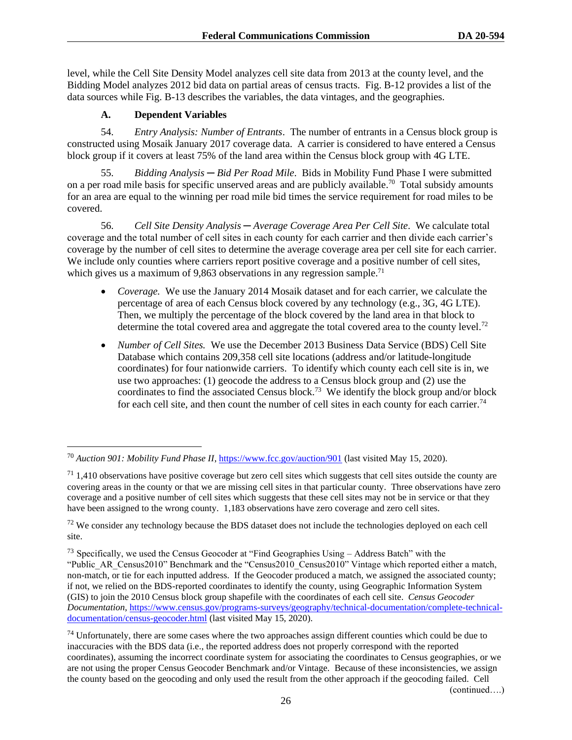level, while the Cell Site Density Model analyzes cell site data from 2013 at the county level, and the Bidding Model analyzes 2012 bid data on partial areas of census tracts. Fig. B-12 provides a list of the data sources while Fig. B-13 describes the variables, the data vintages, and the geographies.

# **A. Dependent Variables**

54. *Entry Analysis: Number of Entrants*. The number of entrants in a Census block group is constructed using Mosaik January 2017 coverage data. A carrier is considered to have entered a Census block group if it covers at least 75% of the land area within the Census block group with 4G LTE.

55. *Bidding Analysis ─ Bid Per Road Mile*. Bids in Mobility Fund Phase I were submitted on a per road mile basis for specific unserved areas and are publicly available.<sup>70</sup> Total subsidy amounts for an area are equal to the winning per road mile bid times the service requirement for road miles to be covered.

56. *Cell Site Density Analysis ─ Average Coverage Area Per Cell Site*. We calculate total coverage and the total number of cell sites in each county for each carrier and then divide each carrier's coverage by the number of cell sites to determine the average coverage area per cell site for each carrier. We include only counties where carriers report positive coverage and a positive number of cell sites, which gives us a maximum of 9,863 observations in any regression sample.<sup>71</sup>

- *Coverage.* We use the January 2014 Mosaik dataset and for each carrier, we calculate the percentage of area of each Census block covered by any technology (e.g., 3G, 4G LTE). Then, we multiply the percentage of the block covered by the land area in that block to determine the total covered area and aggregate the total covered area to the county level.<sup>72</sup>
- *Number of Cell Sites.* We use the December 2013 Business Data Service (BDS) Cell Site Database which contains 209,358 cell site locations (address and/or latitude-longitude coordinates) for four nationwide carriers. To identify which county each cell site is in, we use two approaches: (1) geocode the address to a Census block group and (2) use the coordinates to find the associated Census block.<sup>73</sup> We identify the block group and/or block for each cell site, and then count the number of cell sites in each county for each carrier.<sup>74</sup>

(continued….)

<sup>70</sup> *Auction 901: Mobility Fund Phase II*[, https://www.fcc.gov/auction/901](https://www.fcc.gov/auction/901) (last visited May 15, 2020).

 $71$  1,410 observations have positive coverage but zero cell sites which suggests that cell sites outside the county are covering areas in the county or that we are missing cell sites in that particular county. Three observations have zero coverage and a positive number of cell sites which suggests that these cell sites may not be in service or that they have been assigned to the wrong county. 1,183 observations have zero coverage and zero cell sites.

<sup>&</sup>lt;sup>72</sup> We consider any technology because the BDS dataset does not include the technologies deployed on each cell site.

 $^{73}$  Specifically, we used the Census Geocoder at "Find Geographies Using  $-$  Address Batch" with the "Public\_AR\_Census2010" Benchmark and the "Census2010\_Census2010" Vintage which reported either a match, non-match, or tie for each inputted address. If the Geocoder produced a match, we assigned the associated county; if not, we relied on the BDS-reported coordinates to identify the county, using Geographic Information System (GIS) to join the 2010 Census block group shapefile with the coordinates of each cell site. *Census Geocoder Documentation*[, https://www.census.gov/programs-surveys/geography/technical-documentation/complete-technical](https://www.census.gov/programs-surveys/geography/technical-documentation/complete-technical-documentation/census-geocoder.html)[documentation/census-geocoder.html](https://www.census.gov/programs-surveys/geography/technical-documentation/complete-technical-documentation/census-geocoder.html) (last visited May 15, 2020).

<sup>&</sup>lt;sup>74</sup> Unfortunately, there are some cases where the two approaches assign different counties which could be due to inaccuracies with the BDS data (i.e., the reported address does not properly correspond with the reported coordinates), assuming the incorrect coordinate system for associating the coordinates to Census geographies, or we are not using the proper Census Geocoder Benchmark and/or Vintage. Because of these inconsistencies, we assign the county based on the geocoding and only used the result from the other approach if the geocoding failed. Cell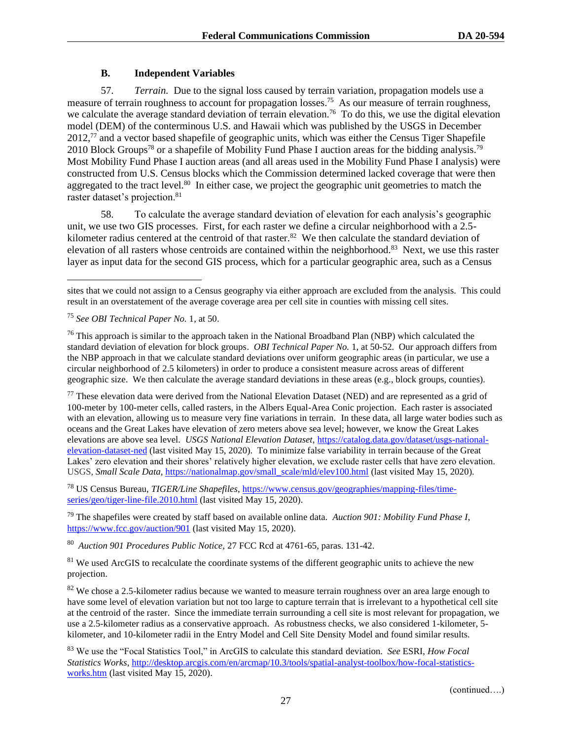## **B. Independent Variables**

57. *Terrain.* Due to the signal loss caused by terrain variation, propagation models use a measure of terrain roughness to account for propagation losses.<sup>75</sup> As our measure of terrain roughness, we calculate the average standard deviation of terrain elevation.<sup>76</sup> To do this, we use the digital elevation model (DEM) of the conterminous U.S. and Hawaii which was published by the USGS in December  $2012<sup>77</sup>$  and a vector based shapefile of geographic units, which was either the Census Tiger Shapefile 2010 Block Groups<sup>78</sup> or a shapefile of Mobility Fund Phase I auction areas for the bidding analysis.<sup>79</sup> Most Mobility Fund Phase I auction areas (and all areas used in the Mobility Fund Phase I analysis) were constructed from U.S. Census blocks which the Commission determined lacked coverage that were then aggregated to the tract level.<sup>80</sup> In either case, we project the geographic unit geometries to match the raster dataset's projection.<sup>81</sup>

58. To calculate the average standard deviation of elevation for each analysis's geographic unit, we use two GIS processes. First, for each raster we define a circular neighborhood with a 2.5 kilometer radius centered at the centroid of that raster.<sup>82</sup> We then calculate the standard deviation of elevation of all rasters whose centroids are contained within the neighborhood.<sup>83</sup> Next, we use this raster layer as input data for the second GIS process, which for a particular geographic area, such as a Census

<sup>77</sup> These elevation data were derived from the National Elevation Dataset (NED) and are represented as a grid of 100-meter by 100-meter cells, called rasters, in the Albers Equal-Area Conic projection. Each raster is associated with an elevation, allowing us to measure very fine variations in terrain. In these data, all large water bodies such as oceans and the Great Lakes have elevation of zero meters above sea level; however, we know the Great Lakes elevations are above sea level. *USGS National Elevation Dataset*[, https://catalog.data.gov/dataset/usgs-national](https://catalog.data.gov/dataset/usgs-national-elevation-dataset-ned)[elevation-dataset-ned](https://catalog.data.gov/dataset/usgs-national-elevation-dataset-ned) (last visited May 15, 2020). To minimize false variability in terrain because of the Great Lakes' zero elevation and their shores' relatively higher elevation, we exclude raster cells that have zero elevation. USGS, *Small Scale Data*, [https://nationalmap.gov/small\\_scale/mld/elev100.html](https://nationalmap.gov/small_scale/mld/elev100.html) (last visited May 15, 2020).

<sup>78</sup> US Census Bureau, *TIGER/Line Shapefiles*[, https://www.census.gov/geographies/mapping-files/time](https://www.census.gov/geographies/mapping-files/time-series/geo/tiger-line-file.2010.html)[series/geo/tiger-line-file.2010.html](https://www.census.gov/geographies/mapping-files/time-series/geo/tiger-line-file.2010.html) (last visited May 15, 2020).

<sup>79</sup> The shapefiles were created by staff based on available online data. *Auction 901: Mobility Fund Phase I*, <https://www.fcc.gov/auction/901> (last visited May 15, 2020).

<sup>80</sup> *Auction 901 Procedures Public Notice*, 27 FCC Rcd at 4761-65, paras. 131-42.

<sup>81</sup> We used ArcGIS to recalculate the coordinate systems of the different geographic units to achieve the new projection.

<sup>82</sup> We chose a 2.5-kilometer radius because we wanted to measure terrain roughness over an area large enough to have some level of elevation variation but not too large to capture terrain that is irrelevant to a hypothetical cell site at the centroid of the raster. Since the immediate terrain surrounding a cell site is most relevant for propagation, we use a 2.5-kilometer radius as a conservative approach. As robustness checks, we also considered 1-kilometer, 5 kilometer, and 10-kilometer radii in the Entry Model and Cell Site Density Model and found similar results.

<sup>83</sup> We use the "Focal Statistics Tool," in ArcGIS to calculate this standard deviation. *See* ESRI, *How Focal Statistics Works*, [http://desktop.arcgis.com/en/arcmap/10.3/tools/spatial-analyst-toolbox/how-focal-statistics](http://desktop.arcgis.com/en/arcmap/10.3/tools/spatial-analyst-toolbox/how-focal-statistics-works.htm)[works.htm](http://desktop.arcgis.com/en/arcmap/10.3/tools/spatial-analyst-toolbox/how-focal-statistics-works.htm) (last visited May 15, 2020).

sites that we could not assign to a Census geography via either approach are excluded from the analysis. This could result in an overstatement of the average coverage area per cell site in counties with missing cell sites.

<sup>75</sup> *See OBI Technical Paper No.* 1, at 50.

 $^{76}$  This approach is similar to the approach taken in the National Broadband Plan (NBP) which calculated the standard deviation of elevation for block groups. *OBI Technical Paper No.* 1, at 50-52. Our approach differs from the NBP approach in that we calculate standard deviations over uniform geographic areas (in particular, we use a circular neighborhood of 2.5 kilometers) in order to produce a consistent measure across areas of different geographic size. We then calculate the average standard deviations in these areas (e.g., block groups, counties).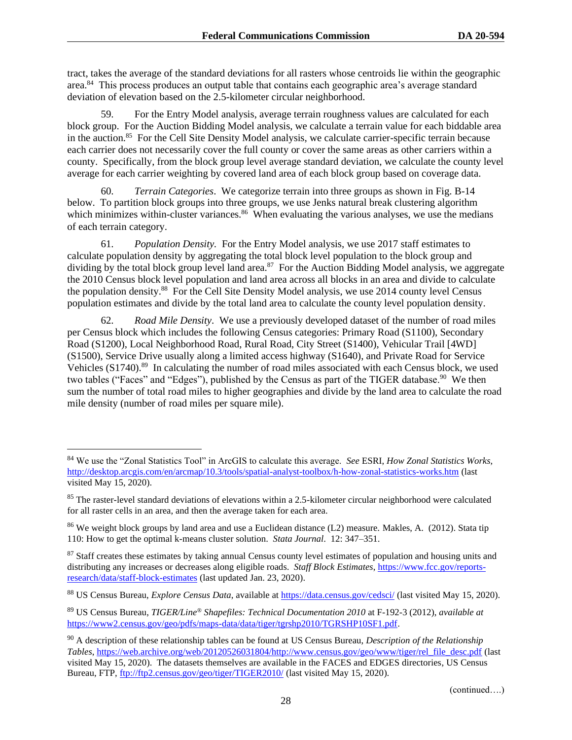tract, takes the average of the standard deviations for all rasters whose centroids lie within the geographic area.<sup>84</sup> This process produces an output table that contains each geographic area's average standard deviation of elevation based on the 2.5-kilometer circular neighborhood.

59. For the Entry Model analysis, average terrain roughness values are calculated for each block group. For the Auction Bidding Model analysis, we calculate a terrain value for each biddable area in the auction.<sup>85</sup> For the Cell Site Density Model analysis, we calculate carrier-specific terrain because each carrier does not necessarily cover the full county or cover the same areas as other carriers within a county. Specifically, from the block group level average standard deviation, we calculate the county level average for each carrier weighting by covered land area of each block group based on coverage data.

60. *Terrain Categories*. We categorize terrain into three groups as shown in Fig. B-14 below. To partition block groups into three groups, we use Jenks natural break clustering algorithm which minimizes within-cluster variances.<sup>86</sup> When evaluating the various analyses, we use the medians of each terrain category.

61. *Population Density.* For the Entry Model analysis, we use 2017 staff estimates to calculate population density by aggregating the total block level population to the block group and dividing by the total block group level land area.<sup>87</sup> For the Auction Bidding Model analysis, we aggregate the 2010 Census block level population and land area across all blocks in an area and divide to calculate the population density.<sup>88</sup> For the Cell Site Density Model analysis, we use 2014 county level Census population estimates and divide by the total land area to calculate the county level population density.

62. *Road Mile Density*. We use a previously developed dataset of the number of road miles per Census block which includes the following Census categories: Primary Road (S1100), Secondary Road (S1200), Local Neighborhood Road, Rural Road, City Street (S1400), Vehicular Trail [4WD] (S1500), Service Drive usually along a limited access highway (S1640), and Private Road for Service Vehicles (S1740).<sup>89</sup> In calculating the number of road miles associated with each Census block, we used two tables ("Faces" and "Edges"), published by the Census as part of the TIGER database.<sup>90</sup> We then sum the number of total road miles to higher geographies and divide by the land area to calculate the road mile density (number of road miles per square mile).

<sup>84</sup> We use the "Zonal Statistics Tool" in ArcGIS to calculate this average. *See* ESRI, *How Zonal Statistics Works,* <http://desktop.arcgis.com/en/arcmap/10.3/tools/spatial-analyst-toolbox/h-how-zonal-statistics-works.htm> (last visited May 15, 2020).

<sup>&</sup>lt;sup>85</sup> The raster-level standard deviations of elevations within a 2.5-kilometer circular neighborhood were calculated for all raster cells in an area, and then the average taken for each area.

<sup>&</sup>lt;sup>86</sup> We weight block groups by land area and use a Euclidean distance (L2) measure. Makles, A. (2012). Stata tip 110: How to get the optimal k-means cluster solution. *Stata Journal*. 12: 347–351.

<sup>&</sup>lt;sup>87</sup> Staff creates these estimates by taking annual Census county level estimates of population and housing units and distributing any increases or decreases along eligible roads. *Staff Block Estimates*[, https://www.fcc.gov/reports](https://www.fcc.gov/reports-research/data/staff-block-estimates)[research/data/staff-block-estimates](https://www.fcc.gov/reports-research/data/staff-block-estimates) (last updated Jan. 23, 2020).

<sup>88</sup> US Census Bureau, *Explore Census Data*, available at<https://data.census.gov/cedsci/> (last visited May 15, 2020).

<sup>89</sup> US Census Bureau, *TIGER/Line® Shapefiles: Technical Documentation 2010* at F-192-3 (2012), *available at*  [https://www2.census.gov/geo/pdfs/maps-data/data/tiger/tgrshp2010/TGRSHP10SF1.pdf.](https://www2.census.gov/geo/pdfs/maps-data/data/tiger/tgrshp2010/TGRSHP10SF1.pdf)

<sup>90</sup> A description of these relationship tables can be found at US Census Bureau, *Description of the Relationship Tables*, [https://web.archive.org/web/20120526031804/http://www.census.gov/geo/www/tiger/rel\\_file\\_desc.pdf](https://web.archive.org/web/20120526031804/http:/www.census.gov/geo/www/tiger/rel_file_desc.pdf) (last visited May 15, 2020). The datasets themselves are available in the FACES and EDGES directories, US Census Bureau, FTP,<ftp://ftp2.census.gov/geo/tiger/TIGER2010/> (last visited May 15, 2020).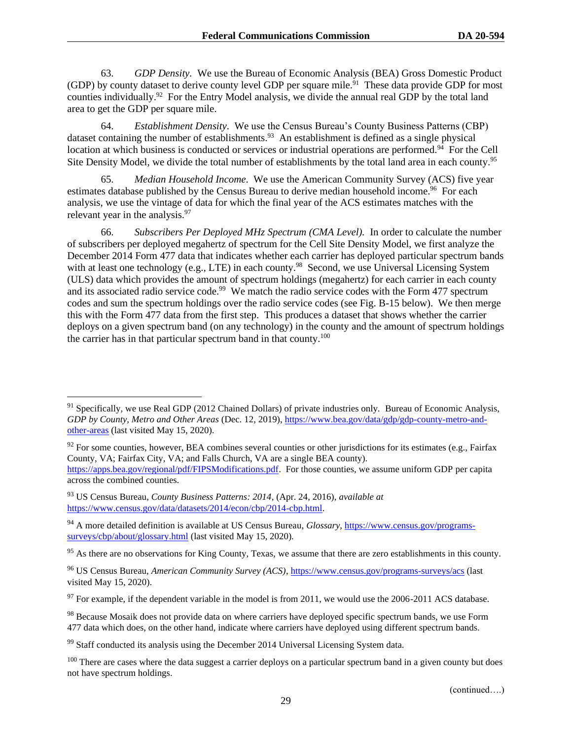63. *GDP Density.* We use the Bureau of Economic Analysis (BEA) Gross Domestic Product (GDP) by county dataset to derive county level GDP per square mile.<sup>91</sup> These data provide GDP for most counties individually.<sup>92</sup> For the Entry Model analysis, we divide the annual real GDP by the total land area to get the GDP per square mile.

64. *Establishment Density*. We use the Census Bureau's County Business Patterns (CBP) dataset containing the number of establishments.<sup>93</sup> An establishment is defined as a single physical location at which business is conducted or services or industrial operations are performed.<sup>94</sup> For the Cell Site Density Model, we divide the total number of establishments by the total land area in each county.<sup>95</sup>

65. *Median Household Income*. We use the American Community Survey (ACS) five year estimates database published by the Census Bureau to derive median household income.<sup>96</sup> For each analysis, we use the vintage of data for which the final year of the ACS estimates matches with the relevant year in the analysis.<sup>97</sup>

66. *Subscribers Per Deployed MHz Spectrum (CMA Level).* In order to calculate the number of subscribers per deployed megahertz of spectrum for the Cell Site Density Model, we first analyze the December 2014 Form 477 data that indicates whether each carrier has deployed particular spectrum bands with at least one technology (e.g., LTE) in each county.<sup>98</sup> Second, we use Universal Licensing System (ULS) data which provides the amount of spectrum holdings (megahertz) for each carrier in each county and its associated radio service code.<sup>99</sup> We match the radio service codes with the Form 477 spectrum codes and sum the spectrum holdings over the radio service codes (see Fig. B-15 below). We then merge this with the Form 477 data from the first step. This produces a dataset that shows whether the carrier deploys on a given spectrum band (on any technology) in the county and the amount of spectrum holdings the carrier has in that particular spectrum band in that county.<sup>100</sup>

<sup>91</sup> Specifically, we use Real GDP (2012 Chained Dollars) of private industries only.Bureau of Economic Analysis, *GDP by County, Metro and Other Areas* (Dec. 12, 2019)[, https://www.bea.gov/data/gdp/gdp-county-metro-and](https://www.bea.gov/data/gdp/gdp-county-metro-and-other-areas)[other-areas](https://www.bea.gov/data/gdp/gdp-county-metro-and-other-areas) (last visited May 15, 2020).

 $92$  For some counties, however, BEA combines several counties or other jurisdictions for its estimates (e.g., Fairfax County, VA; Fairfax City, VA; and Falls Church, VA are a single BEA county). [https://apps.bea.gov/regional/pdf/FIPSModifications.pdf.](https://apps.bea.gov/regional/pdf/FIPSModifications.pdf) For those counties, we assume uniform GDP per capita across the combined counties.

<sup>93</sup> US Census Bureau, *County Business Patterns: 2014*, (Apr. 24, 2016), *available at* [https://www.census.gov/data/datasets/2014/econ/cbp/2014-cbp.html.](https://www.census.gov/data/datasets/2014/econ/cbp/2014-cbp.html)

<sup>94</sup> A more detailed definition is available at US Census Bureau, *Glossary*, [https://www.census.gov/programs](https://www.census.gov/programs-surveys/cbp/about/glossary.html)[surveys/cbp/about/glossary.html](https://www.census.gov/programs-surveys/cbp/about/glossary.html) (last visited May 15, 2020).

<sup>&</sup>lt;sup>95</sup> As there are no observations for King County, Texas, we assume that there are zero establishments in this county.

<sup>96</sup> US Census Bureau, *American Community Survey (ACS)*,<https://www.census.gov/programs-surveys/acs> (last visited May 15, 2020).

 $97$  For example, if the dependent variable in the model is from 2011, we would use the 2006-2011 ACS database.

<sup>&</sup>lt;sup>98</sup> Because Mosaik does not provide data on where carriers have deployed specific spectrum bands, we use Form 477 data which does, on the other hand, indicate where carriers have deployed using different spectrum bands.

<sup>&</sup>lt;sup>99</sup> Staff conducted its analysis using the December 2014 Universal Licensing System data.

<sup>&</sup>lt;sup>100</sup> There are cases where the data suggest a carrier deploys on a particular spectrum band in a given county but does not have spectrum holdings.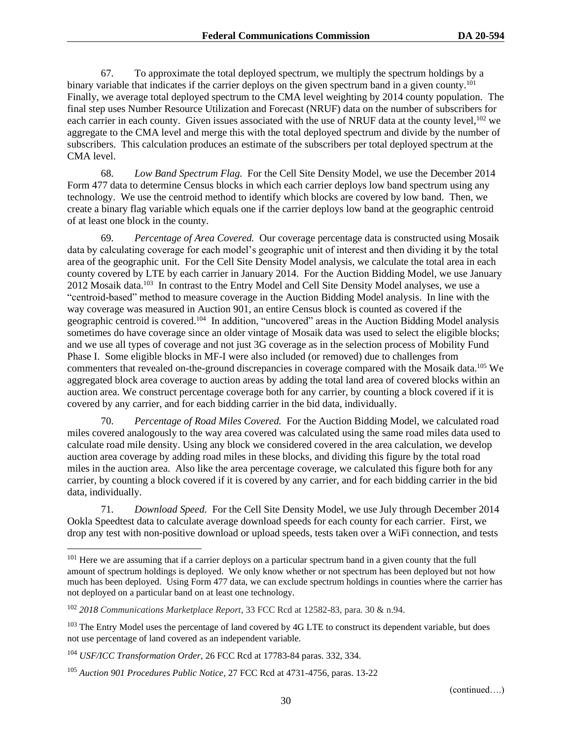67. To approximate the total deployed spectrum, we multiply the spectrum holdings by a binary variable that indicates if the carrier deploys on the given spectrum band in a given county.<sup>101</sup> Finally, we average total deployed spectrum to the CMA level weighting by 2014 county population. The final step uses Number Resource Utilization and Forecast (NRUF) data on the number of subscribers for each carrier in each county. Given issues associated with the use of NRUF data at the county level,<sup>102</sup> we aggregate to the CMA level and merge this with the total deployed spectrum and divide by the number of subscribers. This calculation produces an estimate of the subscribers per total deployed spectrum at the CMA level.

68. *Low Band Spectrum Flag.* For the Cell Site Density Model, we use the December 2014 Form 477 data to determine Census blocks in which each carrier deploys low band spectrum using any technology. We use the centroid method to identify which blocks are covered by low band. Then, we create a binary flag variable which equals one if the carrier deploys low band at the geographic centroid of at least one block in the county.

69. *Percentage of Area Covered.* Our coverage percentage data is constructed using Mosaik data by calculating coverage for each model's geographic unit of interest and then dividing it by the total area of the geographic unit. For the Cell Site Density Model analysis, we calculate the total area in each county covered by LTE by each carrier in January 2014. For the Auction Bidding Model, we use January 2012 Mosaik data.<sup>103</sup> In contrast to the Entry Model and Cell Site Density Model analyses, we use a "centroid-based" method to measure coverage in the Auction Bidding Model analysis. In line with the way coverage was measured in Auction 901, an entire Census block is counted as covered if the geographic centroid is covered.<sup>104</sup> In addition, "uncovered" areas in the Auction Bidding Model analysis sometimes do have coverage since an older vintage of Mosaik data was used to select the eligible blocks; and we use all types of coverage and not just 3G coverage as in the selection process of Mobility Fund Phase I. Some eligible blocks in MF-I were also included (or removed) due to challenges from commenters that revealed on-the-ground discrepancies in coverage compared with the Mosaik data.<sup>105</sup> We aggregated block area coverage to auction areas by adding the total land area of covered blocks within an auction area. We construct percentage coverage both for any carrier, by counting a block covered if it is covered by any carrier, and for each bidding carrier in the bid data, individually.

70. *Percentage of Road Miles Covered.* For the Auction Bidding Model, we calculated road miles covered analogously to the way area covered was calculated using the same road miles data used to calculate road mile density. Using any block we considered covered in the area calculation, we develop auction area coverage by adding road miles in these blocks, and dividing this figure by the total road miles in the auction area. Also like the area percentage coverage, we calculated this figure both for any carrier, by counting a block covered if it is covered by any carrier, and for each bidding carrier in the bid data, individually.

71. *Download Speed.* For the Cell Site Density Model, we use July through December 2014 Ookla Speedtest data to calculate average download speeds for each county for each carrier. First, we drop any test with non-positive download or upload speeds, tests taken over a WiFi connection, and tests

<sup>&</sup>lt;sup>101</sup> Here we are assuming that if a carrier deploys on a particular spectrum band in a given county that the full amount of spectrum holdings is deployed. We only know whether or not spectrum has been deployed but not how much has been deployed. Using Form 477 data, we can exclude spectrum holdings in counties where the carrier has not deployed on a particular band on at least one technology.

<sup>102</sup> *2018 Communications Marketplace Report*, 33 FCC Rcd at 12582-83, para. 30 & n.94.

<sup>&</sup>lt;sup>103</sup> The Entry Model uses the percentage of land covered by 4G LTE to construct its dependent variable, but does not use percentage of land covered as an independent variable.

<sup>104</sup> *USF/ICC Transformation Order,* 26 FCC Rcd at 17783-84 paras. 332, 334.

<sup>105</sup> *Auction 901 Procedures Public Notice*, 27 FCC Rcd at 4731-4756, paras. 13-22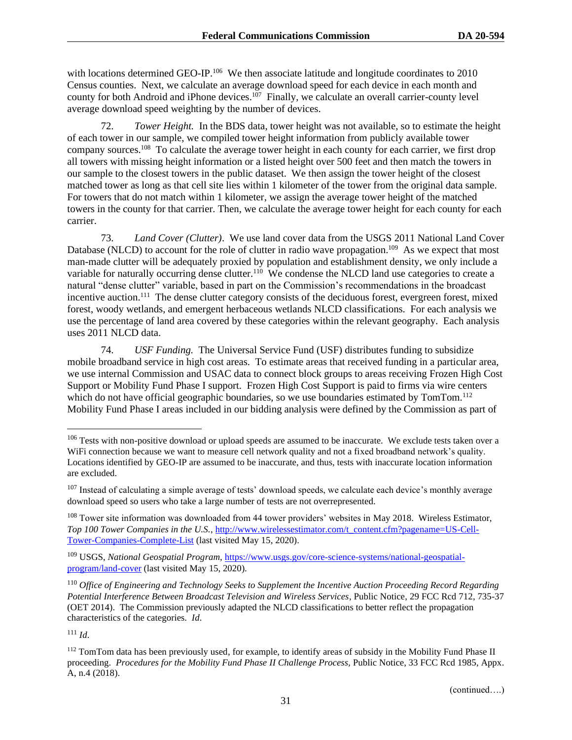with locations determined GEO-IP.<sup>106</sup> We then associate latitude and longitude coordinates to 2010 Census counties. Next, we calculate an average download speed for each device in each month and county for both Android and iPhone devices.<sup>107</sup> Finally, we calculate an overall carrier-county level average download speed weighting by the number of devices.

72. *Tower Height.* In the BDS data, tower height was not available, so to estimate the height of each tower in our sample, we compiled tower height information from publicly available tower company sources.<sup>108</sup> To calculate the average tower height in each county for each carrier, we first drop all towers with missing height information or a listed height over 500 feet and then match the towers in our sample to the closest towers in the public dataset. We then assign the tower height of the closest matched tower as long as that cell site lies within 1 kilometer of the tower from the original data sample. For towers that do not match within 1 kilometer, we assign the average tower height of the matched towers in the county for that carrier. Then, we calculate the average tower height for each county for each carrier.

73. *Land Cover (Clutter)*. We use land cover data from the USGS 2011 National Land Cover Database (NLCD) to account for the role of clutter in radio wave propagation.<sup>109</sup> As we expect that most man-made clutter will be adequately proxied by population and establishment density, we only include a variable for naturally occurring dense clutter.<sup>110</sup> We condense the NLCD land use categories to create a natural "dense clutter" variable, based in part on the Commission's recommendations in the broadcast incentive auction.<sup>111</sup> The dense clutter category consists of the deciduous forest, evergreen forest, mixed forest, woody wetlands, and emergent herbaceous wetlands NLCD classifications. For each analysis we use the percentage of land area covered by these categories within the relevant geography. Each analysis uses 2011 NLCD data.

74. *USF Funding.* The Universal Service Fund (USF) distributes funding to subsidize mobile broadband service in high cost areas. To estimate areas that received funding in a particular area, we use internal Commission and USAC data to connect block groups to areas receiving Frozen High Cost Support or Mobility Fund Phase I support. Frozen High Cost Support is paid to firms via wire centers which do not have official geographic boundaries, so we use boundaries estimated by TomTom.<sup>112</sup> Mobility Fund Phase I areas included in our bidding analysis were defined by the Commission as part of

 $111$  *Id.* 

<sup>&</sup>lt;sup>106</sup> Tests with non-positive download or upload speeds are assumed to be inaccurate. We exclude tests taken over a WiFi connection because we want to measure cell network quality and not a fixed broadband network's quality. Locations identified by GEO-IP are assumed to be inaccurate, and thus, tests with inaccurate location information are excluded.

 $107$  Instead of calculating a simple average of tests' download speeds, we calculate each device's monthly average download speed so users who take a large number of tests are not overrepresented.

<sup>&</sup>lt;sup>108</sup> Tower site information was downloaded from 44 tower providers' websites in May 2018. Wireless Estimator, *Top 100 Tower Companies in the U.S.*[, http://www.wirelessestimator.com/t\\_content.cfm?pagename=US-Cell-](http://www.wirelessestimator.com/t_content.cfm?pagename=US-Cell-Tower-Companies-Complete-List)[Tower-Companies-Complete-List](http://www.wirelessestimator.com/t_content.cfm?pagename=US-Cell-Tower-Companies-Complete-List) (last visited May 15, 2020).

<sup>109</sup> USGS, *National Geospatial Program*[, https://www.usgs.gov/core-science-systems/national-geospatial](https://www.usgs.gov/core-science-systems/national-geospatial-program/land-cover)[program/land-cover](https://www.usgs.gov/core-science-systems/national-geospatial-program/land-cover) (last visited May 15, 2020).

<sup>110</sup> *Office of Engineering and Technology Seeks to Supplement the Incentive Auction Proceeding Record Regarding Potential Interference Between Broadcast Television and Wireless Services*, Public Notice, 29 FCC Rcd 712, 735-37 (OET 2014).The Commission previously adapted the NLCD classifications to better reflect the propagation characteristics of the categories. *Id*.

<sup>&</sup>lt;sup>112</sup> TomTom data has been previously used, for example, to identify areas of subsidy in the Mobility Fund Phase II proceeding. *Procedures for the Mobility Fund Phase II Challenge Process,* Public Notice, 33 FCC Rcd 1985, Appx. A, n.4 (2018).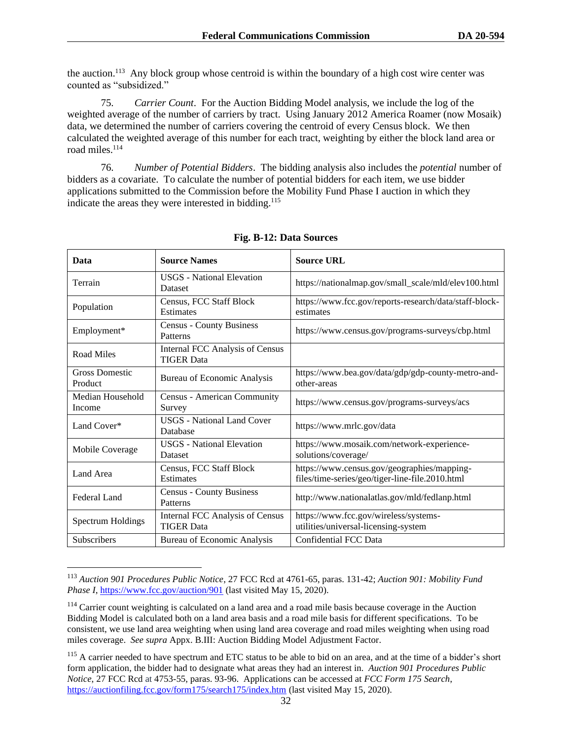the auction.<sup>113</sup> Any block group whose centroid is within the boundary of a high cost wire center was counted as "subsidized."

75. *Carrier Count*. For the Auction Bidding Model analysis, we include the log of the weighted average of the number of carriers by tract. Using January 2012 America Roamer (now Mosaik) data, we determined the number of carriers covering the centroid of every Census block. We then calculated the weighted average of this number for each tract, weighting by either the block land area or road miles.<sup>114</sup>

76. *Number of Potential Bidders*. The bidding analysis also includes the *potential* number of bidders as a covariate. To calculate the number of potential bidders for each item, we use bidder applications submitted to the Commission before the Mobility Fund Phase I auction in which they indicate the areas they were interested in bidding.<sup>115</sup>

| Data                             | <b>Source Names</b>                                  | <b>Source URL</b>                                                                              |
|----------------------------------|------------------------------------------------------|------------------------------------------------------------------------------------------------|
| Terrain                          | <b>USGS</b> - National Elevation<br><b>Dataset</b>   | https://nationalmap.gov/small_scale/mld/elev100.html                                           |
| Population                       | Census, FCC Staff Block<br>Estimates                 | https://www.fcc.gov/reports-research/data/staff-block-<br>estimates                            |
| Employment*                      | <b>Census - County Business</b><br>Patterns          | https://www.census.gov/programs-surveys/cbp.html                                               |
| <b>Road Miles</b>                | Internal FCC Analysis of Census<br><b>TIGER Data</b> |                                                                                                |
| <b>Gross Domestic</b><br>Product | <b>Bureau of Economic Analysis</b>                   | https://www.bea.gov/data/gdp/gdp-county-metro-and-<br>other-areas                              |
| Median Household<br>Income       | <b>Census - American Community</b><br>Survey         | https://www.census.gov/programs-surveys/acs                                                    |
| Land Cover*                      | <b>USGS</b> - National Land Cover<br>Database        | https://www.mrlc.gov/data                                                                      |
| Mobile Coverage                  | <b>USGS</b> - National Elevation<br>Dataset          | https://www.mosaik.com/network-experience-<br>solutions/coverage/                              |
| Land Area                        | Census, FCC Staff Block<br>Estimates                 | https://www.census.gov/geographies/mapping-<br>files/time-series/geo/tiger-line-file.2010.html |
| Federal Land                     | <b>Census - County Business</b><br>Patterns          | http://www.nationalatlas.gov/mld/fedlanp.html                                                  |
| <b>Spectrum Holdings</b>         | Internal FCC Analysis of Census<br><b>TIGER Data</b> | https://www.fcc.gov/wireless/systems-<br>utilities/universal-licensing-system                  |
| Subscribers                      | Bureau of Economic Analysis                          | Confidential FCC Data                                                                          |

## **Fig. B-12: Data Sources**

<sup>113</sup> *Auction 901 Procedures Public Notice*, 27 FCC Rcd at 4761-65, paras. 131-42; *Auction 901: Mobility Fund Phase I*,<https://www.fcc.gov/auction/901> (last visited May 15, 2020).

<sup>&</sup>lt;sup>114</sup> Carrier count weighting is calculated on a land area and a road mile basis because coverage in the Auction Bidding Model is calculated both on a land area basis and a road mile basis for different specifications. To be consistent, we use land area weighting when using land area coverage and road miles weighting when using road miles coverage. *See supra* Appx. B.III: Auction Bidding Model Adjustment Factor.

<sup>&</sup>lt;sup>115</sup> A carrier needed to have spectrum and ETC status to be able to bid on an area, and at the time of a bidder's short form application, the bidder had to designate what areas they had an interest in. *Auction 901 Procedures Public Notice*, 27 FCC Rcd at 4753-55, paras. 93-96. Applications can be accessed at *FCC Form 175 Search*, <https://auctionfiling.fcc.gov/form175/search175/index.htm> (last visited May 15, 2020).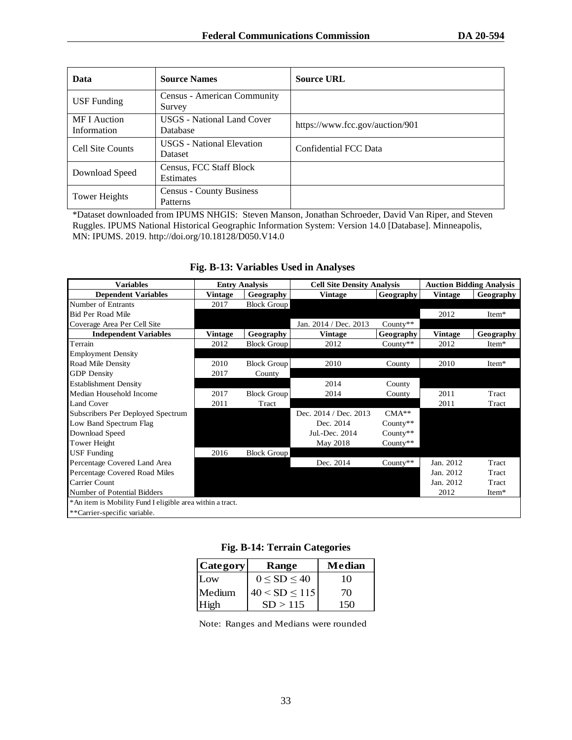| Data                               | <b>Source Names</b>                                | <b>Source URL</b>               |
|------------------------------------|----------------------------------------------------|---------------------------------|
| <b>USF</b> Funding                 | Census - American Community<br>Survey              |                                 |
| <b>MF</b> I Auction<br>Information | <b>USGS</b> - National Land Cover<br>Database      | https://www.fcc.gov/auction/901 |
| Cell Site Counts                   | <b>USGS</b> - National Elevation<br><b>Dataset</b> | Confidential FCC Data           |
| Download Speed                     | Census, FCC Staff Block<br>Estimates               |                                 |
| Tower Heights                      | <b>Census - County Business</b><br>Patterns        |                                 |

\*Dataset downloaded from IPUMS NHGIS: Steven Manson, Jonathan Schroeder, David Van Riper, and Steven Ruggles. IPUMS National Historical Geographic Information System: Version 14.0 [Database]. Minneapolis, MN: IPUMS. 2019. http://doi.org/10.18128/D050.V14.0

# **Fig. B-13: Variables Used in Analyses**

| <b>Variables</b>                                          |                | <b>Entry Analysis</b> | <b>Cell Site Density Analysis</b> |             | <b>Auction Bidding Analysis</b> |           |
|-----------------------------------------------------------|----------------|-----------------------|-----------------------------------|-------------|---------------------------------|-----------|
| <b>Dependent Variables</b>                                | Vintage        | Geography             | <b>Vintage</b>                    | Geography   | <b>Vintage</b>                  | Geography |
| Number of Entrants                                        | 2017           | <b>Block Group</b>    |                                   |             |                                 |           |
| <b>Bid Per Road Mile</b>                                  |                |                       |                                   |             | 2012                            | Item*     |
| Coverage Area Per Cell Site                               |                |                       | Jan. 2014 / Dec. 2013             | County $**$ |                                 |           |
| <b>Independent Variables</b>                              | <b>Vintage</b> | Geography             | Vintage                           | Geography   | <b>Vintage</b>                  | Geography |
| Terrain                                                   | 2012           | <b>Block Group</b>    | 2012                              | County $**$ | 2012                            | Item*     |
| <b>Employment Density</b>                                 |                |                       |                                   |             |                                 |           |
| Road Mile Density                                         | 2010           | <b>Block Group</b>    | 2010                              | County      | 2010                            | Item*     |
| <b>GDP</b> Density                                        | 2017           | County                |                                   |             |                                 |           |
| <b>Establishment Density</b>                              |                |                       | 2014                              | County      |                                 |           |
| Median Household Income                                   | 2017           | <b>Block Group</b>    | 2014                              | County      | 2011                            | Tract     |
| Land Cover                                                | 2011           | Tract                 |                                   |             | 2011                            | Tract     |
| Subscribers Per Deployed Spectrum                         |                |                       | Dec. 2014 / Dec. 2013             | $CMA**$     |                                 |           |
| Low Band Spectrum Flag                                    |                |                       | Dec. 2014                         | County $**$ |                                 |           |
| Download Speed                                            |                |                       | Jul.-Dec. 2014                    | County**    |                                 |           |
| Tower Height                                              |                |                       | May 2018                          | County $**$ |                                 |           |
| <b>USF</b> Funding                                        | 2016           | <b>Block Group</b>    |                                   |             |                                 |           |
| Percentage Covered Land Area                              |                |                       | Dec. 2014                         | $Country**$ | Jan. 2012                       | Tract     |
| Percentage Covered Road Miles                             |                |                       |                                   |             | Jan. 2012                       | Tract     |
| Carrier Count                                             |                |                       |                                   |             | Jan. 2012                       | Tract     |
| Number of Potential Bidders                               |                |                       |                                   |             | 2012                            | Item*     |
| *An item is Mobility Fund I eligible area within a tract. |                |                       |                                   |             |                                 |           |
| **Carrier-specific variable.                              |                |                       |                                   |             |                                 |           |

**Fig. B-14: Terrain Categories**

| <b>Category</b> | <b>Range</b>        | Median |
|-----------------|---------------------|--------|
| Low             | $0 \leq SD \leq 40$ | 10     |
| Medium          | $40 < SD \le 115$   | 70     |
| High            | SD > 115            | 150    |

Note: Ranges and Medians were rounded